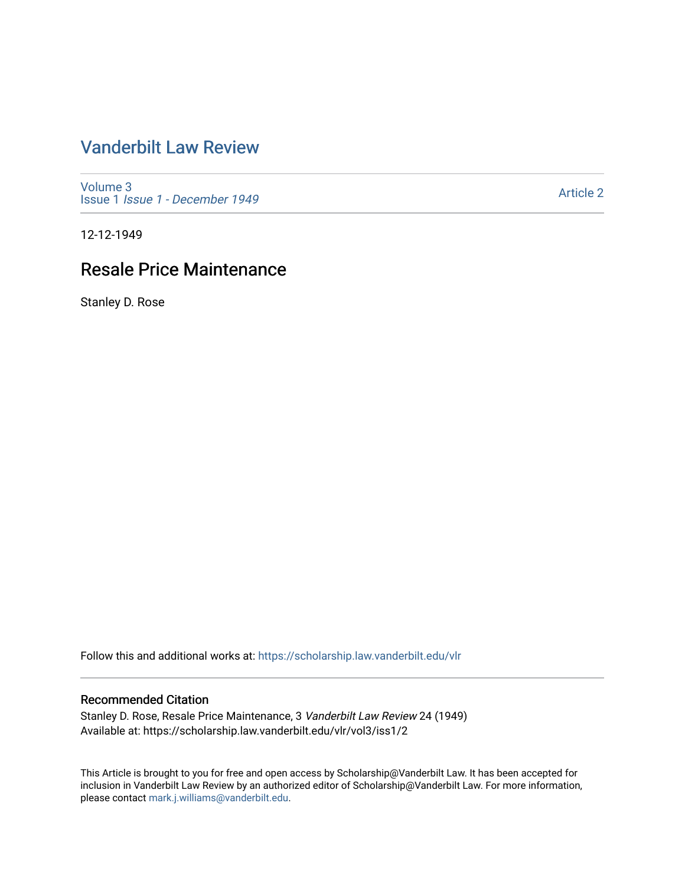# [Vanderbilt Law Review](https://scholarship.law.vanderbilt.edu/vlr)

[Volume 3](https://scholarship.law.vanderbilt.edu/vlr/vol3) Issue 1 [Issue 1 - December 1949](https://scholarship.law.vanderbilt.edu/vlr/vol3/iss1) 

[Article 2](https://scholarship.law.vanderbilt.edu/vlr/vol3/iss1/2) 

12-12-1949

# Resale Price Maintenance

Stanley D. Rose

Follow this and additional works at: [https://scholarship.law.vanderbilt.edu/vlr](https://scholarship.law.vanderbilt.edu/vlr?utm_source=scholarship.law.vanderbilt.edu%2Fvlr%2Fvol3%2Fiss1%2F2&utm_medium=PDF&utm_campaign=PDFCoverPages)

## Recommended Citation

Stanley D. Rose, Resale Price Maintenance, 3 Vanderbilt Law Review 24 (1949) Available at: https://scholarship.law.vanderbilt.edu/vlr/vol3/iss1/2

This Article is brought to you for free and open access by Scholarship@Vanderbilt Law. It has been accepted for inclusion in Vanderbilt Law Review by an authorized editor of Scholarship@Vanderbilt Law. For more information, please contact [mark.j.williams@vanderbilt.edu.](mailto:mark.j.williams@vanderbilt.edu)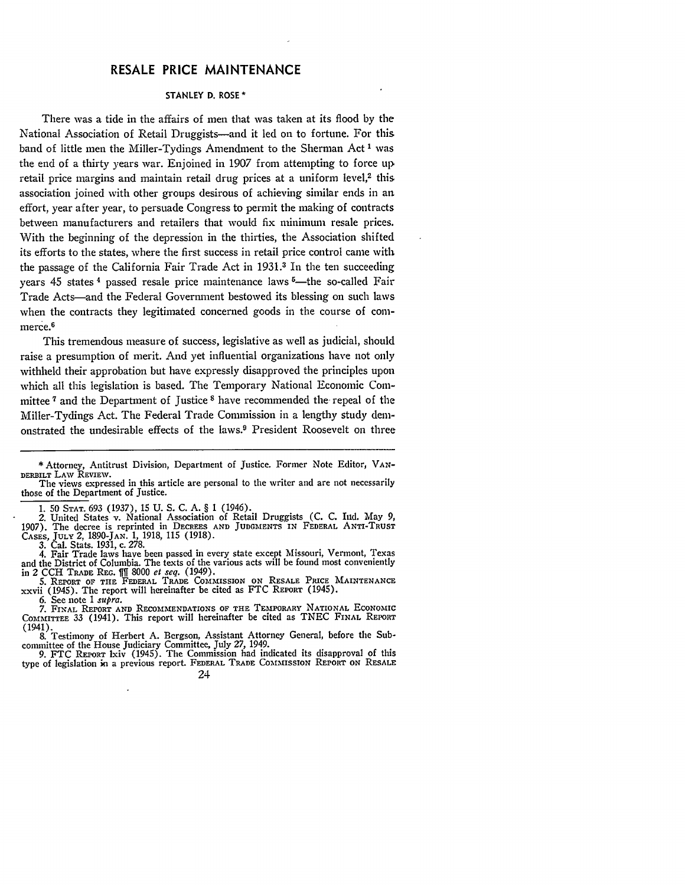## RESALE PRICE **MAINTENANCE**

#### **STANLEY D. ROSE \***

There was a tide in the affairs of men that was taken at its flood **by** the National Association of Retail Druggists-and it led on to fortune. For this band of little men the Miller-Tydings Amendment to the Sherman Act **I** was the end of a thirty years war. Enjoined in 1907 from attempting to force up, retail price margins and maintain retail drug prices at a uniform level,<sup>2</sup> this association joined with other groups desirous of achieving similar ends in an effort, year after year, to persuade Congress to permit the making of contracts between manufacturers and retailers that would fix minimum resale prices. With the beginning of the depression in the thirties, the Association shifted its efforts to the states, where the first success in retail price control came with the passage of the California Fair Trade Act in 1931.<sup>3</sup> In the ten succeeding years  $45$  states  $4$  passed resale price maintenance laws  $5$ —the so-called Fair Trade Acts-and the Federal Government bestowed its blessing on such laws when the contracts they legitimated concerned goods in the course of commerce.<sup>6</sup>

This tremendous measure of success, legislative as well as judicial, should raise a presumption of merit. And yet influential organizations have not only withheld their approbation but have expressly disapproved the principles upon which all this legislation is based. The Temporary National Economic Committee **<sup>7</sup>**and the Department of Justice **8** have recommended the repeal of the Miller-Tydings Act. The Federal Trade Commission in a lengthy study demonstrated the undesirable effects of the laws.9 President Roosevelt on three

2. United States v. National Association of Retail Druggists **(C. C.** Ind. May 9,

1907). The decree is reprinted in DECREES AND JUDGMENTS IN FEDERAL ANTI-TRUST CASES, JULY 2, 1890-JAN. 1, 1918, 115 (1918). **3.** Cal. Stats. 1931, c. 278.

4. Fair Trade laws have been passed in every state except Missouri, Vermont, Texas and the District of Columbia. The texts of the various acts will be found most conveniently

in 2 CCH TRADE REG. [11] 8000 *et seq.* (1949).<br>5. REPORT OF THE FEDERAL TRADE COMMISSION ON RESALE PRICE MAINTENANCE<br>xxvii (1945). The report will hereinafter be cited as FTC REPORT (1945).

6. See note **I** *supra.* **7.** FINAL REPORT **AND** RECOMMENDATIONS OF **THE** TEMPORARY NATIONAL EcoNoMIc COMMITTEE 33 (1941). This report will hereinafter be cited as TNEC FINAL REPORT

(1941). 8. Testimony of Herbert A. Bergson, Assistant Attorney General, before the Sub-

committee of the House Judiciary Committee, July 27, 1949. 9. FTC REPORT lxiv (1945). The Commission had indicated its disapproval of this type of legislation in a previous report. FEDERAL TRADE COMMISSION REPORT ON RESALE



**<sup>\*</sup>** Attorney, Antitrust Division, Department of Justice. Former Note Editor, VAN-DERBILT LAW REVIEW.

The views expressed in this article are personal to the writer and are not necessarily those of the Department of Justice.

<sup>1. 50</sup> **STAT. 693** (1937), 15 U. **S. C. A.** § 1 (1946).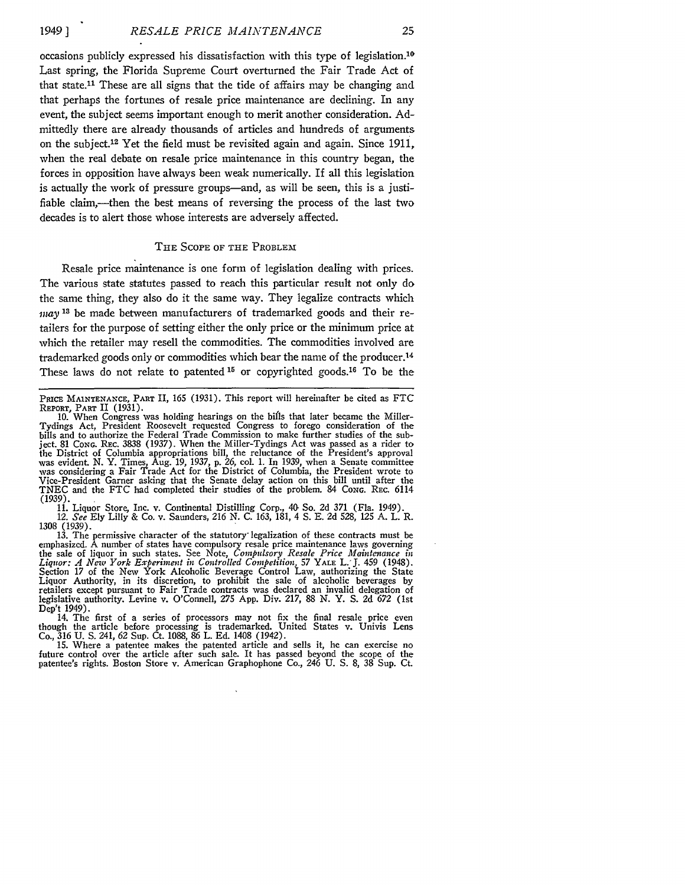occasions publicly expressed his dissatisfaction with this type of legislation.<sup>10</sup> Last spring, the Florida Supreme Court overturned the Fair Trade Act of that state.<sup>11</sup> These are all signs that the tide of affairs may be changing and that perhaps the fortunes of resale price maintenance are declining. In any event, the subject seems important enough to merit another consideration. Admittedly there are already thousands of articles and hundreds of arguments on the subject. 12 Yet the field must be revisited again and again. Since 1911, when the real debate on resale price maintenance in this country began, the forces in opposition have always been weak numerically. If all this legislation is actually the work of pressure groups—and, as will be seen, this is a justifiable claim,—then the best means of reversing the process of the last two decades is to alert those whose interests are adversely affected.

#### THE SCOPE OF THE PROBLEM

Resale price maintenance is one form of legislation dealing with prices. The various state statutes passed to reach this particular result not only do the same thing, they also do it the same way. They legalize contracts which *may* **13** be made between manufacturers of trademarked goods and their retailers for the purpose of setting either the only price or the minimum price at which the retailer may resell the commodities. The commodities involved are trademarked goods only or commodities which bear the name of the producer.<sup>14</sup> These laws do not relate to patented **15** or copyrighted goods.16 To be the

11. Liquor Store, Inc. v. Continental Distilling Corp., 40 So. 2d 371 (Fla. 1949). 12. *See* Ely Lilly & Co. v. Saunders, 216 N. C. 163, 181, 4 **S.** E. 2d 528, 125 A. L. R. 1308 (1939).

13. The permissive character of the statutory' legalization of these contracts must be emphasizcd. À number of states have compulsory resale price maintenance laws governing<br>the sale of liquor in such states. See Note, *Compulsory Resale Price Maintenance in*<br>Liquor: A New York Experiment in Controlled Compe Liquor Authority, in its discretion, to prohibit the sale of alcoholic beverages by retailers except pursuant to Fair Trade contracts was declared an invalid delegation of legislative authority. Levine v. O'Connell, **275** App. Div. **217,** 88 N. Y. S. 2d 672 (1st Dep't 1949). 14. The first of a series of processors may not fix the final resale price even

though the article before processing is trademarked. United States v. Univis Lens Co., 316 U. S. 241, 62 Sup. Ct. 1088, 86 L. Ed. 1408 (1942).

15. Where a patentee makes the patented article and sells it, he can exercise no future control over the article after such sale. It has passed beyond the scope of the patentee's rights. Boston Store v. American Graphophone Co., 246 U. S. 8, 38 Sup. Ct.

**PRICE MAINTENANCE,** PART II, 165 (1931). This report will hereinafter be cited as FTC

REPORT, **PART** II (1931). 10. When Congress was holding hearings on the bifls that later became the Miller-Tydings Act, President Roosevelt requested Congress to forego consideration of the bills and to authorize the Federal Trade Commission to make further studies of the subject. 81 **CONG.** REc. 3838 (1937). When the Miller-Tydings Act was passed as a rider to the District of Columbia appropriations bill, the reluctance of the President's approval was evident. N. Y. Times, Aug. 19, 1937, p. 26, col. 1. In 1939, when a Senate committee **was** considering a Fair Trade Act for the District of Columbia, the President wrote to Vice-President Garner asking that the Senate delay action on this bill until after the TNEC and the FTC had completed their studies of the problem. 84 **CONG.** REC. 6114 (1939)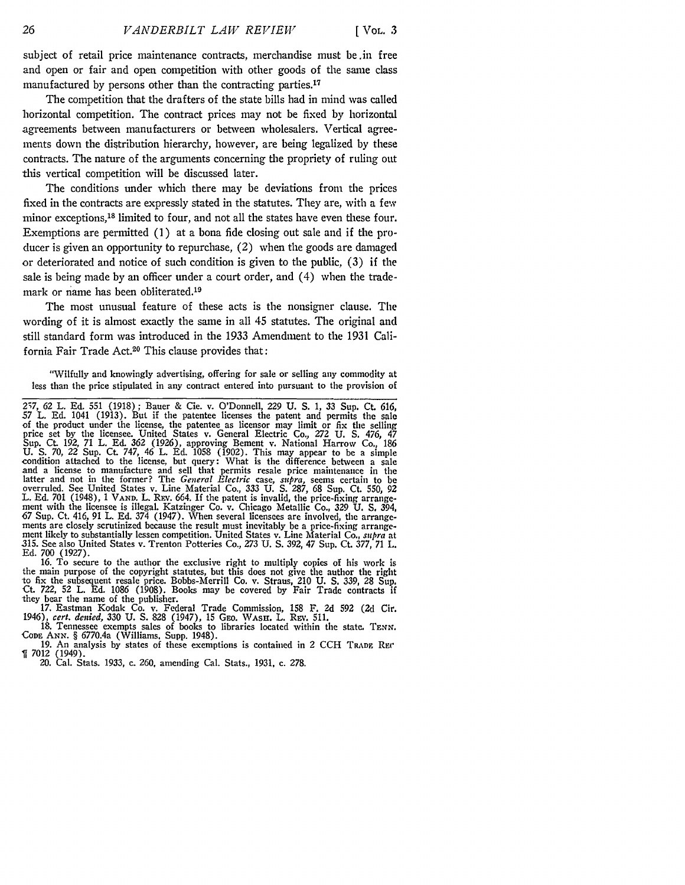subject of retail price maintenance contracts, merchandise must be.in free and open or fair and open competition with other goods of the same class manufactured by persons other than the contracting parties.<sup>17</sup>

The competition that the drafters of the state bills had in mind **was** called horizontal competition. The contract prices may not be fixed **by** horizontal agreements between manufacturers or between wholesalers. Vertical agreements down the distribution hierarchy, however, are being legalized **by** these contracts. The nature of the arguments concerning the propriety of ruling out this vertical competition will be discussed later.

The conditions under which there may be deviations from the prices fixed in the contracts are expressly stated in the statutes. They are, with a **few** minor exceptions, 18 limited to four, and not all the states have even these four. Exemptions are permitted (1) at a bona fide closing out sale and if the producer is given an opportunity to repurchase, (2) when the goods are damaged or deteriorated and notice of such condition is given to the public, **(3)** if the sale is being made **by** an officer under a court order, and (4) when the trademark or name has been obliterated.<sup>19</sup>

The most unusual feature of these acts is the nonsigner clause. The wording of it is almost exactly the same in all 45 statutes. The original and still standard form was introduced in the **1933** Amendment to the **1931** California Fair Trade Act.20 This clause provides that:

"Wilfully and knowingly advertising, offering for sale or selling any commodity at less than the price stipulated in any contract entered into pursuant to the provision of

16. To secure to the author the exclusive right to multiply copies of his work is the main purpose of the copyright statutes, but this does not give the author the right to fix the subsequent resale price. Bobbs-Merrill Co. v. Straus, 210 U. S. **339,** 28 Sup. Ct. 722, 52 L. Ed. 1086 (1908). Books may be covered by Fair Trade contracts if they bear the name of the publisher.

17. Eastman Kodak Co. v. Federal Trade Commission, 158 F. 2d **592** (2d Cir. 1946), *cert. denied,* 330 U. S. 828 (1947), 15 GEO. WASH. L. REV. 511.<br>18. Tennessee exempts sales of books to libraries located within the state. TENN

**CoDE** *ANN.* § 6770.4a (Williams. Supp. 1948).

19. An analysis by states of these exemptions is contained in 2 CCH TRADE REC **1** 7012 (1949).

20. Cal. Stats. 1933, c. 260. amending Cal. Stats., **1931,** c. 278.

<sup>27, 62</sup> L. **Ed. 551** (1918); Bauer **&** Cie. v. O'Donnell, *229* U. S. 1, **33** Sup. Ct. 616, 57 L. Ed. 1041 (1913). But if the patentee licenses the patent and permits the sale of the product under the license, the patentee as licensor may limit or fix the selling price set by the licensee. United States v. General Electric Co., 272 U. **S.** 476, 47 Sup. Ct. 192, 71 L. Ed. **362** (1926), approving Bement v. National Harrow Co., 186 U. **S.** 70, 22 Sup. Ct. 747, 46 L. Ed. 1058 (1902). This may appear to **be** a simple condition attached to the license, but query: What is the difference between a sale<br>and a license to manufacture and sell that permits resale price maintenance in the<br>latter and not in the former? The *General Electric* ca overruled. See United States v. Line Material Co., **333** U. **S.** 287, 68 Sup. Ct. 550, 92 L. Ed. 701 (1948), 1 **VAND.** L. **REv.** 664. If the patent is invalid, the price-fixing arrangement with the licensee is illegal. Katzinger Co. v. Chicago Metallic Co., **329** U. **S.** 394, 67 Sup. Ct. 416, 91 L. **Ed.** 374 (1947). When several licensees are involved, the arrangements are closely scrutinized because the result must inevitably be a price-fixing arrange-<br>ment likely to substantially lessen competition. United States v. Line Material Co., *subra* at .315. See also United States v. Trenton Potteries Co., 273 U. **S.** 392, 47 Sup. Ct. 377, 71 L. Ed. 700 (1927).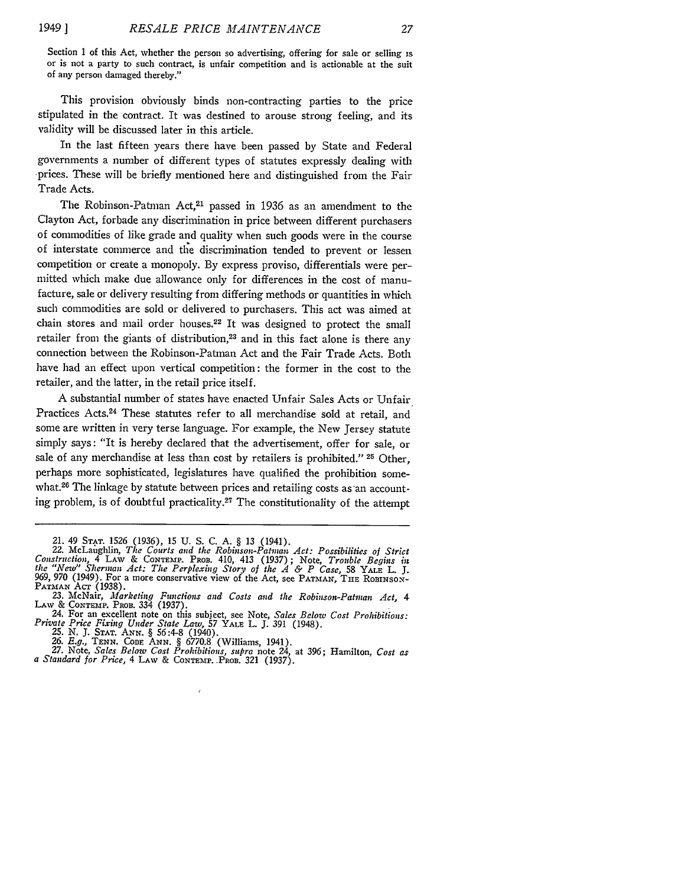Section 1 of this Act, whether the person so advertising, offering for sale or selling **is** or is not a party to such contract, is unfair competition and is actionable at the suit of any person damaged thereby."

This provision obviously binds non-contracting parties to the price stipulated in the contract. It was destined to arouse strong feeling, and its validity will be discussed later in this article.

In the last fifteen years there have been passed **by** State and Federal governments a number of different types of statutes expressly dealing with prices. These will be briefly mentioned here and distinguished from the Fair Trade Acts.

The Robinson-Patman Act,<sup>21</sup> passed in 1936 as an amendment to the Clayton Act, forbade any discrimination in price between different purchasers of commodities of like grade and quality when such goods were in the course of interstate commerce and the discrimination tended to prevent or lessen competition or create a monopoly. **By** express proviso, differentials were permitted which make due allowance only for differences in the cost of manufacture, sale or delivery resulting from differing methods or quantities in which such commodities are sold or delivered to purchasers. This act was aimed at chain stores and mail order houses.<sup>22</sup> It was designed to protect the small retailer from the giants of distribution,<sup>23</sup> and in this fact alone is there any connection between the Robinson-Patman Act and the Fair Trade Acts. Both have had an effect upon vertical competition: the former in the cost to the retailer, and the latter, in the retail price itself.

A substantial number of states have enacted Unfair Sales Acts or Unfair Practices Acts.24 These statutes refer to all merchandise sold at retail, and some are written in very terse language. For example, the New Jersey statute simply says: "It is hereby declared that the advertisement, offer for sale, or sale of any merchandise at less than cost **by** retailers is prohibited." **25** Other, perhaps more sophisticated, legislatures have qualified the prohibition somewhat.26 The linkage **by** statute between prices and retailing costs as an accounting problem, is of doubtful practicality. 27 The constitutionality of the attempt

 $\overline{1}$ 

<sup>21. 49</sup> STAT. 1526 (1936), 15 U. S. C. A. § 13 (1941).<br>22. McLaughlin, The Courts and the Robinson-Patman Act: Possibilities of Strict<br>Construction, 4 LAW & CONTEMP. PROB. 410, 413 (1937); Note, Trouble Begins in *the "New" Sherman Act: The Perplexing Story of the A & P Case,* 58 YALE L. **J.** 969, 970 (1949). For a more conservative view of the Act, see **PATIIAN, THE** ROBINSON-

**PATMAN ACT (1938).**<br>23. McNair, *Marketing Functions and Costs and the Robinson-Patman Act, 4*<br>LAW & CONTEMP. PROB. 334 (1937). **LAW** & **CONTEMP. PROB.** 334 **(1937).** 24. For an excellent note on this subject, see Note, *Sales Below Cost Prohibitions:*

Private Price Fixing Under State Law, 57 YALE L. J. 391 (1948).<br>25. N. J. STAT. ANN. § 56:4-8 (1940).<br>26. E.g., TENN. CODE ANN. § 6770.8 (Williams, 1941).<br>27. Note, Sales Below Cost Prohibitions, supra note 24, at 396; Ham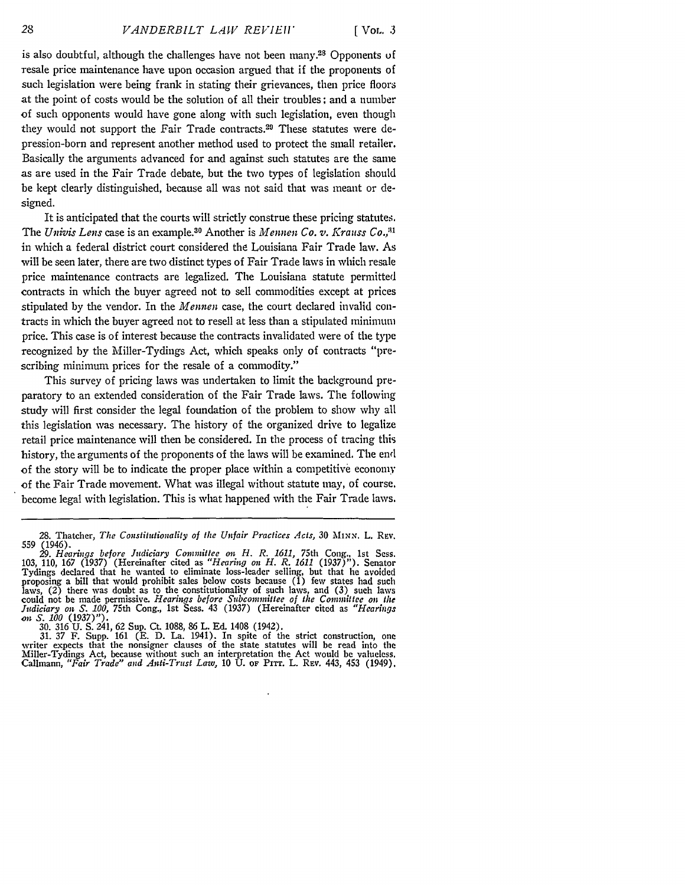is also doubtful, although the challenges have not been many.<sup>28</sup> Opponents of resale price maintenance have upon occasion argued that if the proponents of such legislation were being frank in stating their grievances, then price floors at the point of costs would be the solution of all their troubles; and a number of such opponents would have gone along with such legislation, even though they would not support the Fair Trade contracts.<sup>29</sup> These statutes were depression-born and represent another method used to protect the small retailer. Basically the arguments advanced for and against such statutes are the same as are used in the Fair Trade debate, but the two types of legislation should be kept clearly distinguished, because all was not said that was meant or designed.

It is anticipated that the courts will strictly construe these pricing statutes. The *Univis Lens* case is an example.<sup>30</sup> Another is *Mennen Co. v. Krauss Co.*,<sup>31</sup> in which a federal district court considered the Louisiana Fair Trade law. As will be seen later, there are two distinct types of Fair Trade laws in which resale price maintenance contracts are legalized. The Louisiana statute permitted contracts in which the buyer agreed not to sell commodities except at prices stipulated by the vendor. In the *Mennen* case, the court declared invalid contracts in which the buyer agreed not to resell at less than a stipulated minimum price. This case is of interest because the contracts invalidated were of the type recognized by the Miller-Tydings Act, which speaks only of contracts "prescribing minimum prices for the resale of a commodity."

This survey of pricing laws was undertaken to limit the background preparatory to an extended consideration of the Fair Trade laws. The following study will first consider the legal foundation of the problem to show why all this legislation was necessary. The history of the organized drive to legalize retail price maintenance will then be considered. In the process of tracing this history, the arguments of the proponents of the laws will be examined. The end of the story will be to indicate the proper place within a competitive economy of the Fair Trade movement. What was illegal without statute may, of course. become legal with legislation. This is what happened with the Fair Trade laws.

**<sup>28.</sup>** Thatcher, *The Constitutionality of the Unfair Practices Acts,* 30 MINN. L. REv. 559 (1946).

**<sup>29.</sup>** *Hearings before Judiciary Committee on H. R. 1611,* 75th Cong.. Ist Sess. 103, 110, 167 (1937) (Hereinafter cited as *"Hearing on H. R. 1611* (1937)"). Senator Tydings declared that he wanted to eliminate loss-leader selling, but that he avoided<br>proposing a bill that would prohibit sales below costs because (1) few states had such<br>laws, (2) there was doubt as to the constitution

<sup>30. 316</sup> U. S. 241, 62 Sup. Ct. 1088, 86 L. Ed. 1408 (1942).<br>31. 37 F. Supp. 161 (E. D. La. 1941). In spite of the strict construction, one<br>writer expects that the nonsigner clauses of the state statutes will be read into t Miller-Tydings Act, because without such an interpretation the Act would be valueless. Callmann, *"Fair Trade" and Anti-Trust Law,* 10 U. OF **PiTr.** L. Rav. 443, 453 (1949).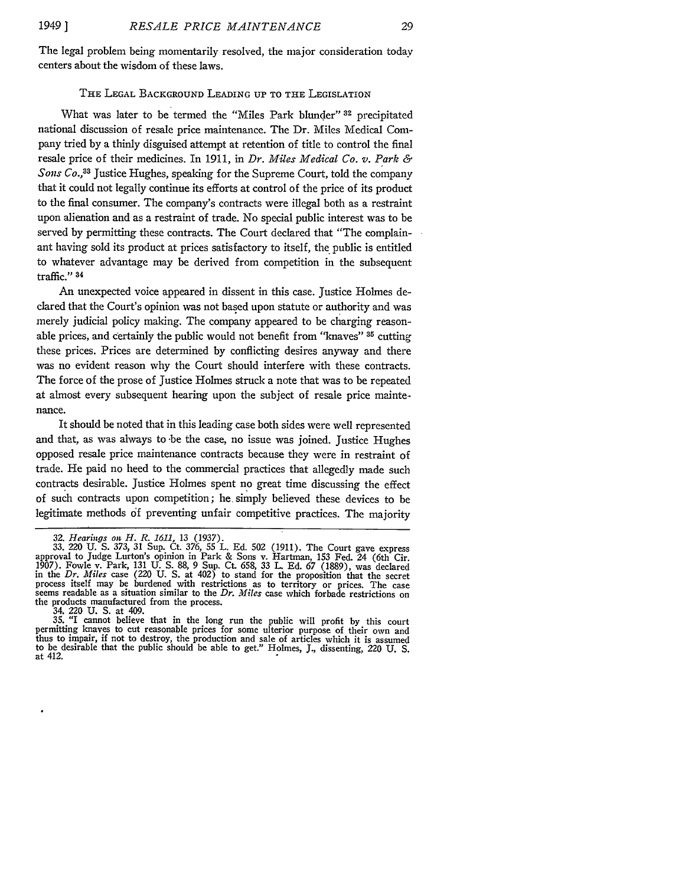The legal problem being momentarily resolved, the major consideration today centers about the wisdom of these laws.

## THE **LEGAL BACKGROUND LEADING UP** TO THE LEGISLATION

What was later to be termed the "Miles Park blunder" **32** precipitated national discussion of resale price maintenance. The Dr. Miles Medical Company tried by a thinly disguised attempt at retention of title to control the final resale price of their medicines. In 1911, in *Dr. Miles Medical Co. v. Park & Sons Co.,33* Justice Hughes, speaking for the Supreme Court, told the company that it could not legally continue its efforts at control of the price of its product to the final consumer. The company's contracts were illegal both as a restraint upon alienation and as a restraint of trade. No special public interest was to be served by permitting these contracts. The Court declared that "The complainant having sold its product at prices satisfactory to itself, the public is entitled to whatever advantage may be derived from competition in the subsequent traffic." 34

An unexpected voice appeared in dissent in this case. Justice Holmes declared that the Court's opinion was not based upon statute or authority and was merely judicial policy making. The company appeared to be charging reasonable prices, and certainly the public would not benefit from "knaves" **35** cutting these prices. Prices are determined **by** conflicting desires anyway and there was no evident reason why the Court should interfere with these contracts. The force of the prose of Justice Holmes struck a note that was to be repeated at almost every subsequent hearing upon the subject of resale price maintenance.

It should be noted that in this leading case both sides were well represented and that, as was always to be the case, no issue was joined. Justice Hughes opposed resale price maintenance contracts because they were in restraint of trade. He paid no heed to the commercial practices that allegedly made such contracts desirable. Justice Holmes spent no great time discussing the effect of such contracts upon competition; he simply believed these devices to be legitimate methods **df** preventing unfair competitive practices. The majority

**34. 220 U. S.** at **409. 35.** "I cannot believe that in the long run the public will profit **by** this court permitting knaves to cut reasonable prices for some ulterior purpose of their own and thus to impair, if not to destroy, the production and sale of articles which it is assumed to be desirable that the public should be able to get." Holmes, **J.,** dissenting, 220 **U. S.** at 412.

**<sup>32.</sup>** *Hearings on H. R. 1611,* **13 (1937). 33. 220 U. S. 373, 31 Sup. Ct. 376,** 55 **L. Ed. 502** (1911). The Court gave express approval to Judge Lurton's opinion in Park **&** Sons v. Hartman, 153 Fed. 24 (6th Cir. **1907).** Fowle v. Park, 131 **U. S. 88, 9** Sup. Ct. **658, 33** L. **Ed. 67 (1889),** was declared in the *Dr. Miles* case (220 **U. S.** at 402) to stand for the proposition that the secret m and process itself may be burdened with restrictions as to territory or prices. The case<br>seems readable as a situation similar to the Dr. Miles case which forbade restrictions on<br>the products manufactured from the proces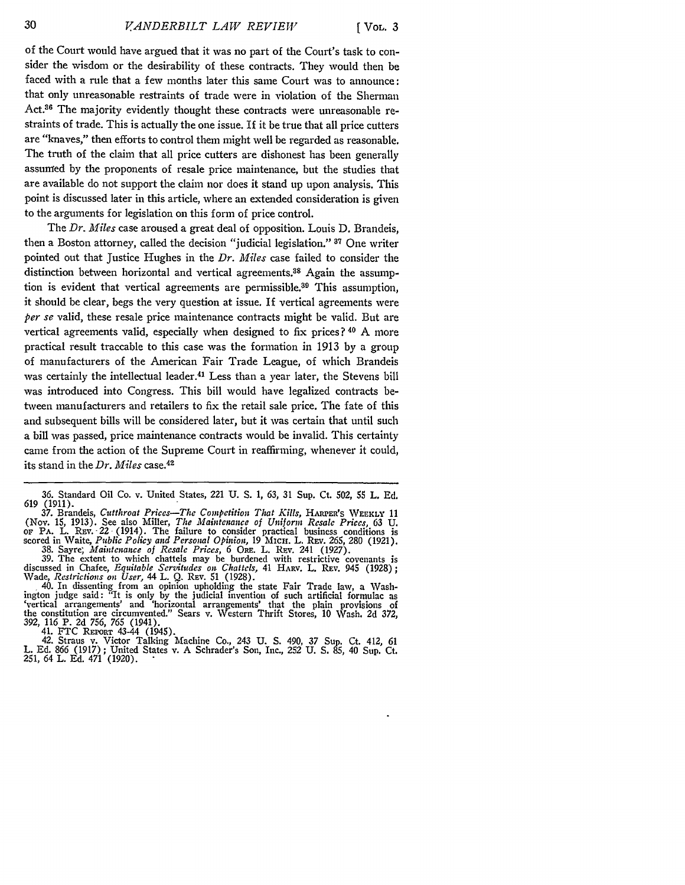of the Court would have argued that it was no part of the Court's task to consider the wisdom or the desirability of these contracts. They would then be faced with a rule that a few months later this same Court was to announce: that only unreasonable restraints of trade were in violation of the Sherman Act.<sup>36</sup> The majority evidently thought these contracts were unreasonable restraints of trade. This is actually the one issue. If it be true that all price cutters are "knaves," then efforts to control them might well be regarded as reasonable. The truth of the claim that all price cutters are dishonest has been generally assumed by the proponents of resale price maintenance, but the studies that are available do not support the claim nor does it stand up upon analysis. This point is discussed later in this article, where an extended consideration is given to the arguments for legislation on this form of price control.

The *Dr. Miles* case aroused a great deal of opposition. Louis **D.** Brandeis, then a Boston attorney, called the decision "judicial legislation." **37** One writer pointed out that Justice Hughes in the *Dr. Miles* case failed to consider the distinction between horizontal and vertical agreements.<sup>38</sup> Again the assumption is evident that vertical agreements are permissible.39 This assumption, it should be clear, begs the very question at issue. If vertical agreements were *per se* valid, these resale price maintenance contracts might be valid. But are vertical agreements valid, especially when designed to fix prices? **40** A more practical result traceable to this case was the formation in 1913 by a group of manufacturers of the American Fair Trade League, of which Brandeis was certainly the intellectual leader.<sup>41</sup> Less than a year later, the Stevens bill was introduced into Congress. This bill would have legalized contracts between manufacturers and retailers to fix the retail sale price. The fate of this and subsequent bills will be considered later, but it was certain that until such a bill was passed, price maintenance contracts would be invalid. This certainty came from the action of the Supreme Court in reaffirming, whenever it could, its stand in the *Dr. Miles* case.<sup>42</sup>

(Nov. 15, 1913). See also Miller, *The Maintenance of Uniform Resale Prices,* 63 **U. OF** PA. L. Rav. 22 (1914). The failure to consider practical business conditions is Scored in Waite, *Public Policy and Personal Opinion*, 19 MICH. L. REV. 265, 280 (1921).<br>38. Sayre; *Maintenance of Resale Prices*, 6 ORE. L. REV. 241 (1927).<br>39. The extent to which chattels may be burdened with restricti

discussed in Chafee, *Equitable Servitudes on Chattels*, 41 HARV. L. REV. 945 (1928);<br>Wade, *Restrictions on User*, 44 L. Q. REV. 51 (1928).<br>40. In dissenting from an opinion upholding the state Fair Trade law, a Wash-

ington judge said: "It is only by the judicial invention of such artificial formulae as 'vertical arrangements' and 'horizontal arrangements' that the plain provisions of the constitution are circumvented." Sears v. Western Thrift Stores, 10 Wash. 2d 372, 392, 116 P. 2d 756, 765 (1941).

41. FTC REPORT 43-44 (1945). 42. Straus v. Victor Talking Machine Co., 243 U. **S.** 490, 37 Sup. Ct. 412, 61 L. Ed. 866 (1917) ; United States v. A Schrader's Son, Inc., 252 U. **S.** 85, 40 Sup. Ct. 251, 64 L. Ed. 471 (1920).

<sup>36.</sup> Standard Oil Co. v. United States, 221 U. S. 1, *63,* 31 Sup. Ct. *502,* 55 L. Ed. 619 (1911). 37. Brandeis, *Cutthroat Prices-The Competition That Kills,* **HARPER'S WEEKLY** 11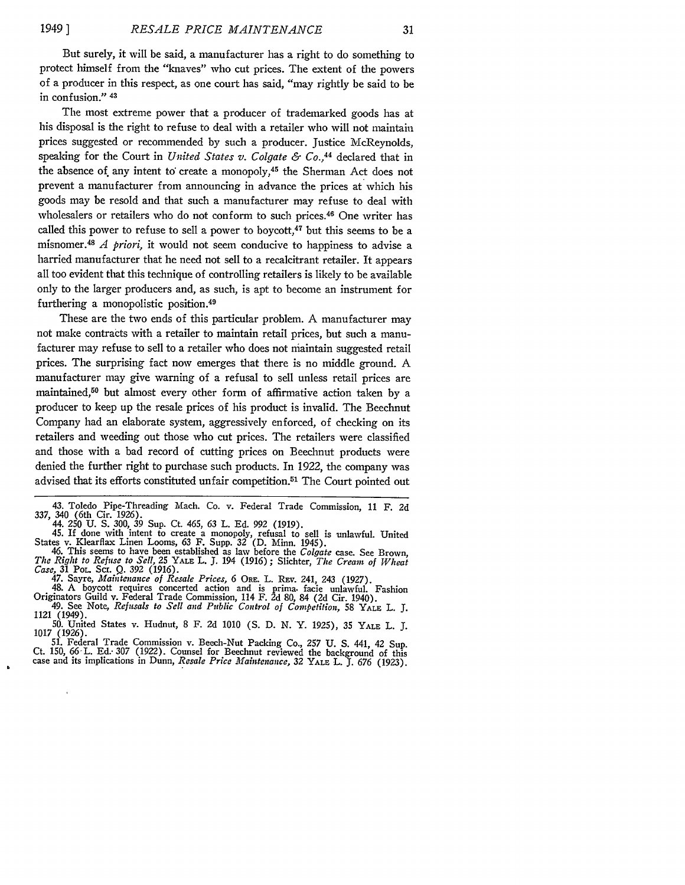But surely, it will be said, a manufacturer has a right to do something to protect himself from the "knaves" who cut prices. The extent of the powers of a producer in this respect, as one court has said, "may rightly be said to be in confusion." 43

The most extreme power that a producer of trademarked goods has at his disposal is the right to refuse to deal with a retailer who will not maintain prices suggested or recommended by such a producer. Justice McReynolds, speaking for the Court in *United States v. Colgate & Co.,44* declared that in the absence of any intent to create a monopoly,<sup>45</sup> the Sherman Act does not prevent a manufacturer from announcing in advance the prices at which his goods may be resold and that such a manufacturer may refuse to deal with wholesalers or retailers who do not conform to such prices.<sup>46</sup> One writer has called this power to refuse to sell a power to boycott, $47$  but this seems to be a misnomer. <sup>4</sup> 8 *A priori,* it would not seem conducive to happiness to advise a harried manufacturer that he need not sell to a recalcitrant retailer. It appears all too evident that this technique of controlling retailers is likely to be available only to the larger producers and, as such, is apt to become an instrument for furthering a monopolistic position.<sup>49</sup>

These are the two ends of this particular problem. A manufacturer may not make contracts with a retailer to maintain retail prices, but such a manufacturer may refuse to sell to a retailer who does not maintain suggested retail prices. The surprising fact now emerges that there is no middle ground. A manufacturer may give warning of a refusal to sell unless retail prices are maintained,<sup>50</sup> but almost every other form of affirmative action taken by a producer to keep up the resale prices of his product is invalid. The Beechnut Company had an elaborate system, aggressively enforced, of checking on its retailers and weeding out those who cut prices. The retailers were classified and those with a bad record of cutting prices on Beechnut products were denied the further right to purchase such products. In 1922, the company was advised that its efforts constituted unfair competition.<sup>51</sup> The Court pointed out

45. If done with intent to create a monopoly, refusal to sell is unlawful. United<br>States v. Klearflax Linen Looms, 63 F. Supp. 32 (D. Minn. 1945).<br>46. This seems to have been established as law before the *Colgate* case. S

*Case, 31* POL. Sci. Q. **392** (1916). 47. Sayre, *Maintenance of Resale Prices,* 6 ORE. L. REv. 241, 243 (1927). 48. A boycott requires concerted action and is prima. facie unlawful. Fashion

Originators Guild v. Federal Trade Commission, 114 F. 2d 80, 84 (2d Cir. 1940). 49. See Note, *Refusals to Sell and Public Control of Competition,* 58 YALE L. *3.*

1121 (1949). 50. United States v. Hudnut, **8** F. 2d 1010 **(S.** D. N. Y. 1925), 35 YALE L. **J.** 1017 (1926).

51. Federal Trade Commission v. Beech-Nut Packing Co., **257 U. S.** 441, 42 Sup. Ct. 150, *66* **-L.** Ed.. 307 (1922). Counsel for Beechnut reviewed the background of this case and its implications in Dunn, *Resale Price Maintenance,* 32 YALE L. *J. 676* (1923).

<sup>43.</sup> Toledo Pipe-Threading Mach. Co. v. Federal Trade Commission, 11 F. 2d 337, 340 (6th Cir. 1926). 44. 250 U. **S.** 300, 39 Sup. Ct. 465, 63 L. Ed. 992 (1919).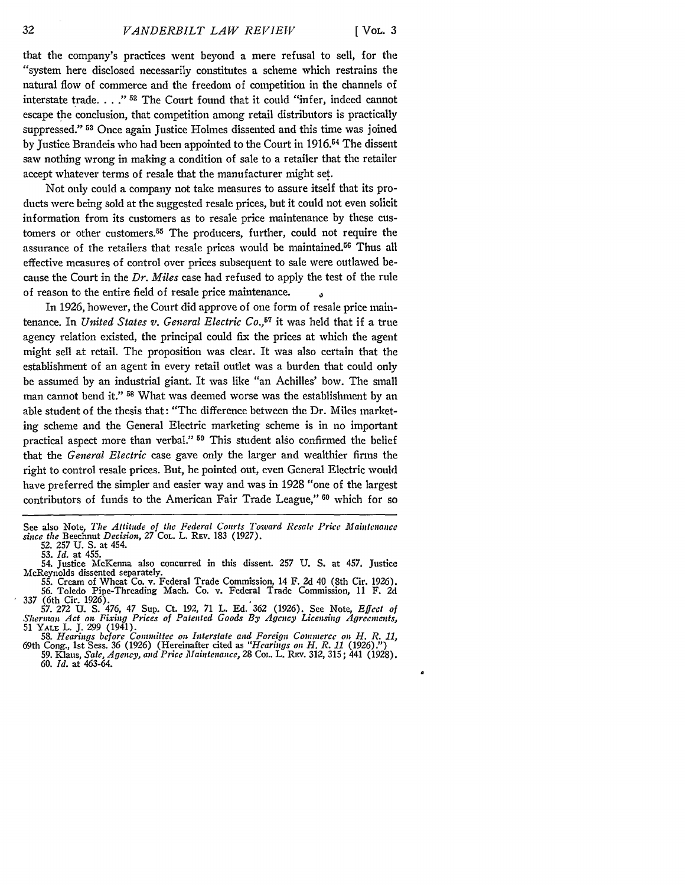that the company's practices went beyond a mere refusal to sell, for the "system here disclosed necessarily constitutes a scheme which restrains the natural flow of commerce and the freedom of competition in the channels of interstate trade **... ." 52** The Court found that it could "infer, indeed cannot escape the conclusion, that competition among retail distributors is practically suppressed." <sup>53</sup> Once again Justice Holmes dissented and this time was joined by Justice Brandeis who had been appointed to the Court in 1916.<sup>54</sup> The dissent saw nothing wrong in making a condition of sale to a retailer that the retailer accept whatever terms of resale that the manufacturer might set.

Not only could a company not take measures to assure itself that its products were being sold at the suggested resale prices, but it could not even solicit information from its customers as to resale price maintenance by these customers or other customers.55 The producers, further, could not require the assurance of the retailers that resale prices would be maintained.56 Thus all effective measures of control over prices subsequent to sale were outlawed because the Court in the *Dr. Miles* case had refused to apply the test of the rule of reason to the entire field of resale price maintenance. **4**

In 1926, however, the Court did approve of one form of resale price maintenance. In *United States v. General Electric Co.*<sup>57</sup> it was held that if a true agency relation existed, the principal could fix the prices at which the agent might sell at retail. The proposition was clear. It was also certain that the establishment of an agent in every retail outlet was a burden that could only be assumed by an industrial giant. It was like "an Achilles' bow. The small man cannot bend it." **58** What was deemed worse was the establishment by an able student of the thesis that: "The difference between the Dr. Miles marketing scheme and the General Electric marketing scheme is in no important practical aspect more than verbal." **59** This student also confirmed the belief that the *General Electric* case gave only the larger and wealthier firms the right to control resale prices. But, he pointed out, even General Electric would have preferred the simpler and easier way and was in 1928 "one of the largest contributors of funds to the American Fair Trade League," **60** which for so

See also Note, *The Attitude of the Federal Courts Toward Resale Price Maintenance since the* Beechnut *Decision,* 27 COL. L. REv. 183 (1927).

<sup>52. 257</sup> U. S. at 454. 53. *Id.* at 455.

<sup>54.</sup> Justice McKenna also concurred in this dissent. 257 U. S. at 457. Justice McReynolds dissented separately.

<sup>55.</sup> Cream of Wheat Co. v. Federal Trade Commission, 14 F. 2d 40 (8th Cir. 1926). 56. Toledo Pipe-Threading Mach. Co. v. Federal Trade Commission, 11 F. 2d 337 (6th Cir. 1926). 57. 272 U. S. 476, 47 Sup. Ct. 192, 71 L. Ed. 362 (1926). See Note, *Effect of*

*Sherman Act on Fixing Prices of Patented Goods By Agency Licensing Agreements,* 51 YALE L. **J.** 299 (1941).

<sup>58.</sup> Hearings before Committee on Interstate and Foreign Commerce on H. R. 11, 69th Cong., 1st Sess. 36 (1926) (Hereinafter cited as "Hearings on H. R. 11 (1926).")<br>59. Klaus, Sale, Agency, and Price Maintenance, 28 Col. L. 60. *Id.* at 463-64.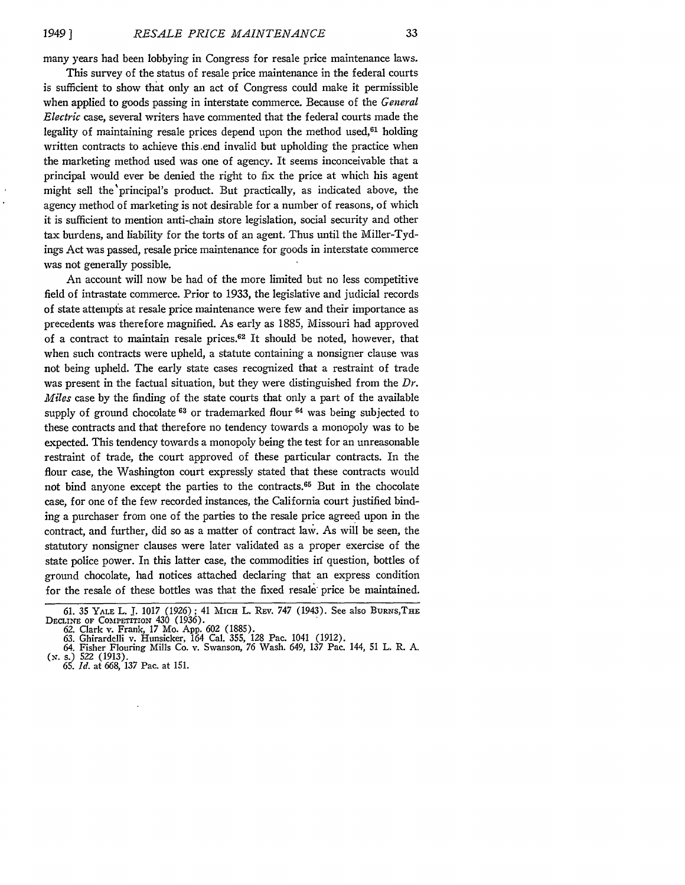many years had been lobbying in Congress for resale price maintenance laws.

This survey of the status of resale price maintenance in the federal courts is sufficient to show that only an act of Congress could make it permissible when applied to goods passing in interstate commerce. Because of the *General Electric* case, several writers have commented that the federal courts made the legality of maintaining resale prices depend upon the method used, $61$  holding written contracts to achieve this .end invalid but upholding the practice when the marketing method used was one of agency. It seems inconceivable that a principal would ever be denied the right to fix the price at which his agent might sell the'principal's product. But practically, as indicated above, the agency method of marketing is not desirable for a number of reasons, of which it is sufficient to mention anti-chain store legislation, social security and other tax burdens, and liability for the torts of an agent. Thus until the Miller-Tydings Act was passed, resale price maintenance for goods in interstate commerce was not generally possible.

An account will now be had of the more limited but no less competitive field of intrastate commerce. Prior to **1933,** the legislative and judicial records of state attempts at resale price maintenance were few and their importance as precedents was therefore magnified. As early as **1885,** Missouri had approved of a contract to maintain resale prices.62 It should be noted, however, that when such contracts were upheld, a statute containing a nonsigner clause was not being upheld. The early state cases recognized that a restraint of trade was present in the factual situation, but they were distinguished from the *Dr. Miles* case **by** the finding of the state courts that only a part of the available supply of ground chocolate <sup>63</sup> or trademarked flour <sup>64</sup> was being subjected to these contracts and that therefore no tendency towards a monopoly was to be expected. This tendency towards a monopoly being the test for an unreasonable restraint of trade, the court approved of these particular contracts. In the flour case, the Washington court expressly stated that these contracts would not bind anyone except the parties to the contracts.<sup>65</sup> But in the chocolate case, for one of the few recorded instances, the California court justified binding a purchaser from one of the parties to the resale price agreed upon in the contract, and further, did so as a matter of contract law. As will be seen, the statutory nonsigner clauses were later validated as a proper exercise of the state police power. In this latter case, the commodities in question, bottles of ground chocolate, had notices attached declaring that an express condition for the resale of these bottles was that the fixed resale' price be maintained.

<sup>61. 35</sup> YALE L. J. 1017 (1926); 41 MICH L. REV. 747 (1943). See also BURNS, THE<br>DECLINE OF COMPETITION 430 (1936).<br>62. Clark v. Frank, 17 Mo. App. 602 (1885).<br>63. Ghirardelli v. Hunsicker, 164 Cal. 355, 128 Pac. 1041 (1912)

**<sup>(..</sup> s.) 522 (1913). 65.** *Id.* at **668, 137** Pac. at **151.**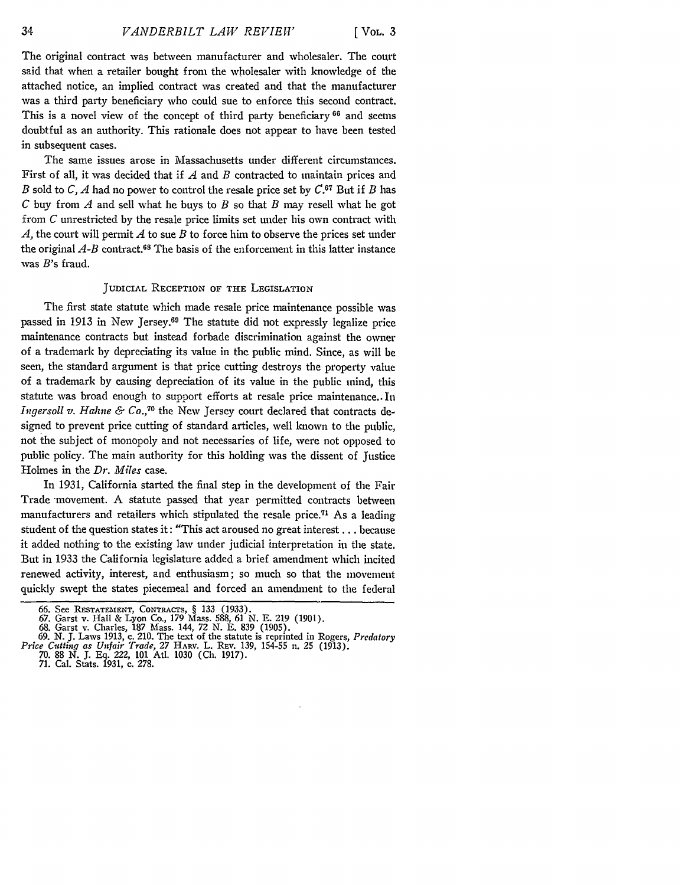The original contract was between manufacturer and wholesaler. The court said that when a retailer bought from the wholesaler with knowledge of the attached notice, an implied contract was created and that the manufacturer was a third party beneficiary who could sue to enforce this second contract. This is a novel view of the concept of third party beneficiary **66** and seems doubtful as an authority. This rationale does not appear to have been tested in subsequent cases.

The same issues arose in Massachusetts under different circumstances. First of all, it was decided that if *A* and *B* contracted to maintain prices and *B* sold to *C, A* had no power to control the resale price set by C.67 But if *B* has *C* buy from *A* and sell what he buys to *B* so that *B* may resell what he got from *C* unrestricted by the resale price limits set under his own contract with *A,* the court will permit *A* to sue *B* to force him to observe the prices set under the original  $A-B$  contract.<sup>68</sup> The basis of the enforcement in this latter instance was B's fraud.

### JUDICIAL RECEPTION OF THE LEGISLATION

The first state statute which made resale price maintenance possible was passed in 1913 in New Jersey.69 The statute did not expressly legalize price maintenance contracts but instead forbade discrimination against the owner of a trademark by depreciating its value in the public mind. Since, as will be seen, the standard argument is that price cutting destroys the property value of a trademark by causing depreciation of its value in the public mind, this statute was broad enough to support efforts at resale price maintenance.. In *Ingersoll v. Hahne & Co.*,<sup>70</sup> the New Jersey court declared that contracts designed to prevent price cutting of standard articles, well known to the public, not the subject of monopoly and not necessaries of life, were not opposed to public policy. The main authority for this holding was the dissent of Justice Holmes in the *Dr. Miles* case.

In 1931, California started the final step in the development of the Fair Trade movement. A statute passed that year permitted contracts between manufacturers and retailers which stipulated the resale price.<sup>71</sup> As a leading student of the question states it: "This act aroused no great interest... because it added nothing to the existing law under judicial interpretation in the state. But in 1933 the California legislature added a brief amendment which incited renewed activity, interest, and enthusiasm; so much so that the movement quickly swept the states piecemeal and forced an amendment to the federal

<sup>66.</sup> See RESTATEMENT, CONTRACTS, § 133 (1933).<br>67. Garst v. Hall & Lyon Co., 179 Mass. 588, 61 N. E. 219 (1901).<br>68. Garst v. Charles, 187 Mass. 144, 72 N. E. 839 (1905).<br>69. N. J. Laws 1913, c. 210. The text of the statute

<sup>70. 88</sup> N. J. **Eq.** 222, **101** Atl. 1030 **(Ch.** 1917). 71. Cal. Stats. 1931, c. 278.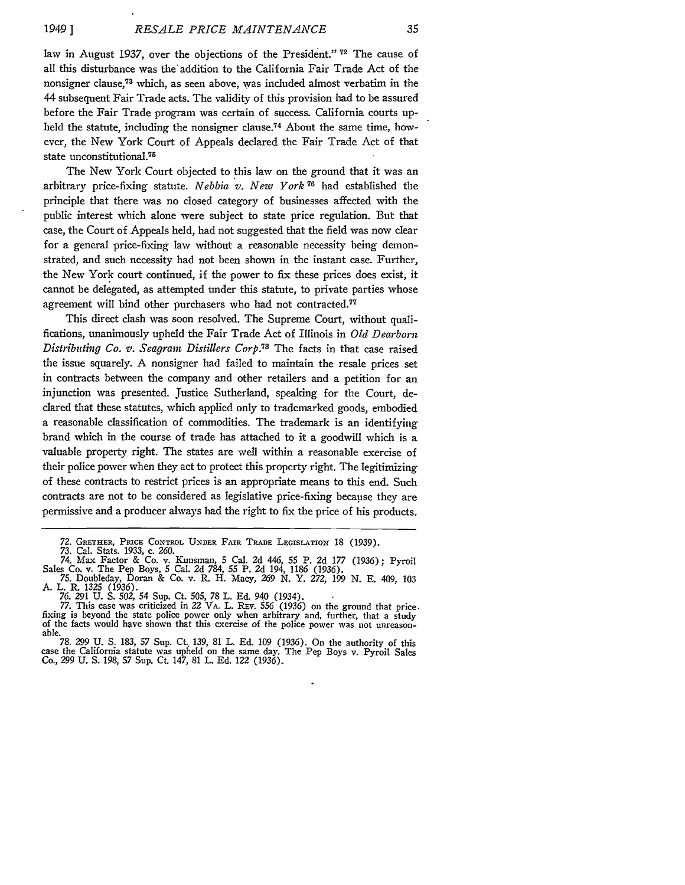*1949* **]**

law in August 1937, over the objections of the President." **72** The cause of all this disturbance was the" addition to the California Fair Trade Act of the nonsigner clause,<sup>73</sup> which, as seen above, was included almost verbatim in the 44 subsequent Fair Trade acts. The validity of this provision had to be assured before the Fair Trade program was certain of success. California courts upheld the statute, including the nonsigner clause.<sup>74</sup> About the same time, however, the New York Court of Appeals declared the Fair Trade Act of that state unconstitutional.<sup>75</sup>

The New York Court objected to this law on the ground that it was an arbitrary price-fixing statute. *Nebbia v. New York* **76** had established the principle that there was no closed category of businesses affected with the public interest which alone were subject to state price regulation. But that case, the Court of Appeals held, had not suggested that the field was now clear for a general price-fixing law without a reasonable necessity being demonstrated, and such necessity had not been shown in the instant case. Further, the New York court continued, if the power to fix these prices does exist, it cannot be delegated, as attempted under this statute, to private parties whose agreement will bind other purchasers who had not contracted.<sup>77</sup>

This direct clash was soon resolved. The Supreme Court, without qualifications, unanimously upheld the Fair Trade Act of Illinois in *Old Dearborn Distributing Co.* v. *Seagram Distillers Corp.73* The facts in that case raised the issue squarely. A nonsigner had failed to maintain the resale prices set in contracts between the company and other retailers and a petition for an injunction was presented. Justice Sutherland, speaking for the Court, declared that these statutes, which applied only to trademarked goods, embodied a reasonable classification of commodities. The trademark is an identifying brand which in the course of trade has attached to it a goodwill which is a valuable property right. The states are well within a reasonable exercise of their police power when they act to protect this property right. The legitimizing of these contracts to restrict prices is an appropriate means to this end. Such contracts are not to be considered as legislative price-fixing because they are permissive and a producer always bad the right to fix the price of his products.

**<sup>72.</sup>** GRETHER, **PRICE** CONTROL **UNDER** FAIR TRADE LEGISLATION 18 (1939).

<sup>73.</sup> Cal. Stats. 1933, c. 260.<br>
74. Max Factor & Co. v. Kunsman, 5 Cal. 2d 446, 55 P. 2d 177 (1936); Pyroil<br>
Sales Co. v. The Pep Boys, 5 Cal. 2d 784, 55 P. 2d 194, 1186 (1936).<br>
75. Doubleday, Doran & Co. v. R. H. Macy, 26

A. L. R. 1325 (1936). **76.** 291 U. S. 502, 54 Sup. Ct. 505, 78 L. Ed. **940** (1934).

<sup>77.</sup> This case was criticized in 22 VA. L. Rev.  $\frac{556}{1936}$  on the ground that price-<br>fixing is beyond the state police power only when arbitrary and, further, that a study<br>of the facts would have shown that this exerci of the facts would have shown that this exercise of the police power was not unreasonable.<br>
78. 299 U. S. 183, 57 Sup. Ct. 139, 81 L. Ed. 109 (1936). On the authority of this

**<sup>78.</sup>** *299* U. S. 183, **57** Sup. Ct.. 139, 81 L. **Ed.** 109 (1936). On the authority of this case the California statute was upheld on the same day. The Pep Boys v. Pyroil Sales Co., 299 U. **S.** 198, **57** Sup. Ct. 147, **81** L. Ed. 122 (1936).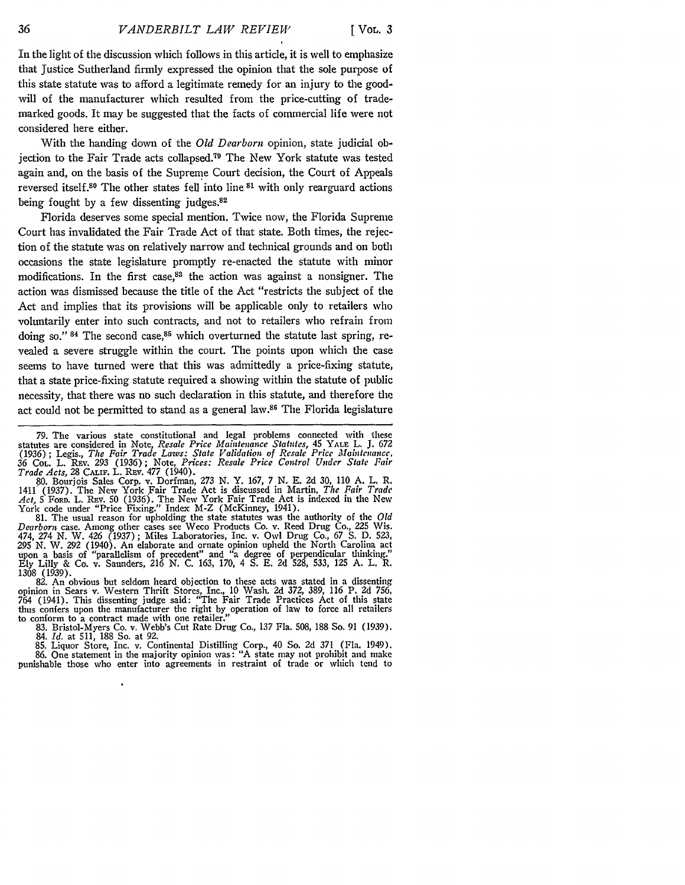In the light of the discussion which follows in this article, it is well to emphasize that Justice Sutherland firmly expressed the opinion that the sole purpose of this state statute was to afford a legitimate remedy for an injury to the goodwill of the manufacturer which resulted from the price-cutting of trademarked goods. It may be suggested that the facts of commercial life were not considered here either.

With the handing down of the *Old Dearborn* opinion, state judicial objection to the Fair Trade acts collapsed.79 The New York statute was tested again and, on the basis of the Supreme Court decision, the Court of Appeals reversed itself.80 The other states fell into line **81** with only rearguard actions being fought **by** a few dissenting judges.82

Florida deserves some special mention. Twice now, the Florida Supreme Court has invalidated the Fair Trade Act of that state. Both times, the rejection of the statute was on relatively narrow and technical grounds and on both occasions the state legislature promptly re-enacted the statute with minor modifications. In the first case,<sup>83</sup> the action was against a nonsigner. The action was dismissed because the title of the Act "restricts the subject of the Act and implies that its provisions will be applicable only to retailers **who** voluntarily enter into such contracts, and not to retailers who refrain from doing so." <sup>84</sup> The second case,<sup>85</sup> which overturned the statute last spring, revealed a severe struggle within the court. The points upon which the case seems to have turned were that this was admittedly a price-fixing statute, that a state price-fixing statute required a showing within the statute of public necessity, that there was no such declaration in this statute, and therefore the act could not be permitted to stand as a general law.86 The Florida legislature

**80.** Bourjois Sales Corp. v. Dorfman, **273 N.** Y. **167, 7** N. **E. 2d 30, 110 A.** L. R. 1411 (1937). The New York Fair Trade Act is discussed in Martin, *The Fair Trade Act,* 5 **FORD.** L. REv. **50** (1936). The New York Fair Trade Act is indexed in the New York code under "Price Fixing." Index M-Z (McKinney, 1941).

**81.** The usual reason for upholding the state statutes was the authority of the *Old Dearborn* case. Among other cases see Weco Products Co. v. Reed Drug Co., **225** Wis. 474, 274 **N.** W. 426 **(1937);** Miles Laboratories, Inc. v. Owl Drug Co., **67 S. D. 523, 295 N.** W. **292** (1940). An elaborate and ornate opinion upheld the North Carolina act upon a basis of "parallelism of precedent" and "a degree of perpendicular thinking." **Ely** Lilly & Co. v. Saunders, **216 N. C. 163, 170,** 4 **S. E. 2d 528, 533, 125 A.** L. R.

1308 (1939).<br>82. An obvious but seldom heard objection to these acts was stated in a dissenting<br>opinion in Sears v. Western Thrift Stores, Inc., 10 Wash. 2d 372, 389, 116 P. 2d 756,<br>764 (1941). This dissenting judge said: thus confers upon the manufacturer the right **by** operation of law to force all retailers to conform to a contract made with one retailer."

**83.** Bristol-Myers Co. v. Webb's Cut Rate Drug Co., **137** Fla. **508, 188** So. **91 (1939).** 84. *Id.* at 511, 188 So. at 92.

85. Liquor Store, Inc. v. Continental Distilling Corp., 40 So. 2d 371 (Fla. 1949). 86. One statement in the majority opinion was: "A state may not prohibit and make punishable those who enter into agreements in restraint of trade or which tend to

**<sup>79.</sup>** The various state constitutional and legal problems connected with these statutes are considered in Note, *Resale Price Maintenance Statutes,* 45 **YALE** L. **J. 672** (1936) ; Legis., *The Fair Trade Laws: State Validation of Resale Price Maintenance,* **36 COL.** L. REv. **293 (1936);** Note, *Prices: Resale Price Control Under State Fair Trade Acts,* **28 CAi.** L. REv. **477** (1940).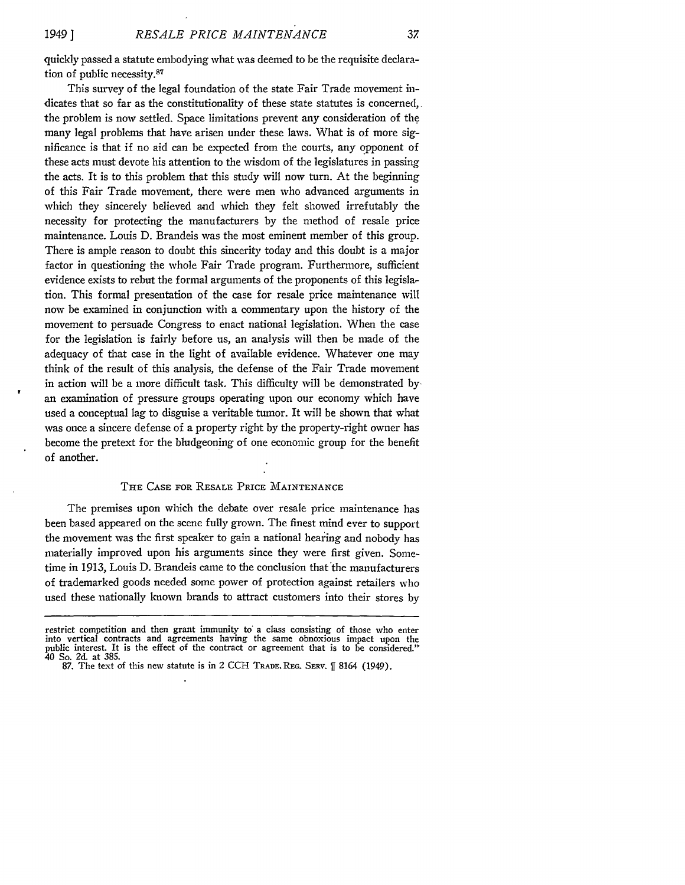quickly passed a statute embodying what was deemed to be the requisite declaration of public necessity.<sup>87</sup>

This survey of the legal foundation of the state Fair Trade movement indicates that so far as the constitutionality of these state statutes is concerned, the problem is now settled. Space limitations prevent any consideration of the many legal problems that have arisen under these laws. What is of more significance is that if no aid can be expected from the courts, any opponent of these acts must devote his attention to the wisdom of the legislatures in passing the acts. It is to this problem that this study will now turn. At the beginning of this Fair Trade movement, there were men who advanced arguments in which they sincerely believed and which they felt showed irrefutably the necessity for protecting the manufacturers **by** the method of resale price maintenance. Louis D. Brandeis was the most eminent member of this group. There is ample reason to doubt this sincerity today and this doubt is a major factor in questioning the whole Fair Trade program. Furthermore, sufficient evidence exists to rebut the formal arguments of the proponents of this legislation. This formal presentation of the case for resale price maintenance will now be examined in conjunction with a commentary upon the history of the movement to persuade Congress to enact national legislation. When the case for the legislation is fairly before us, an analysis will then be made of the adequacy of that case in the light of available evidence. Whatever one may think of the result of this analysis, the defense of the Fair Trade movement in action will be a more difficult task. This difficulty will be demonstrated **by.** an examination of pressure groups operating upon our economy which have used a conceptual lag to disguise a veritable tumor. It will be shown that what was once a sincere defense of a property right **by** the property-right owner has become the pretext for the bludgeoning of one economic group for the benefit of another.

#### THE **CASE** FOR RESALE PRICE **MAINTENANCE**

The premises upon which the debate over resale price maintenance has been based appeared on the scene fully grown. The finest mind ever to support the movement was the first speaker to gain a national hearing and nobody has materially improved upon his arguments since they were first given. Sometime in 1913, Louis D. Brandeis came to the conclusion that the manufacturers of trademarked goods needed some power of protection against retailers who used these nationally known brands to attract customers into their stores by

restrict competition and then grant immunity to a class consisting of those who enter into vertical contracts and agreements having the same obnoxious impact upon the public interest. It is the effect of the contract or agreement that is to be considered." 40 So. **2d.** at **385. 87.** The text of this new statute is in 2 **CCH TRADE. REG.** SERV. **ff** 8164 (1949).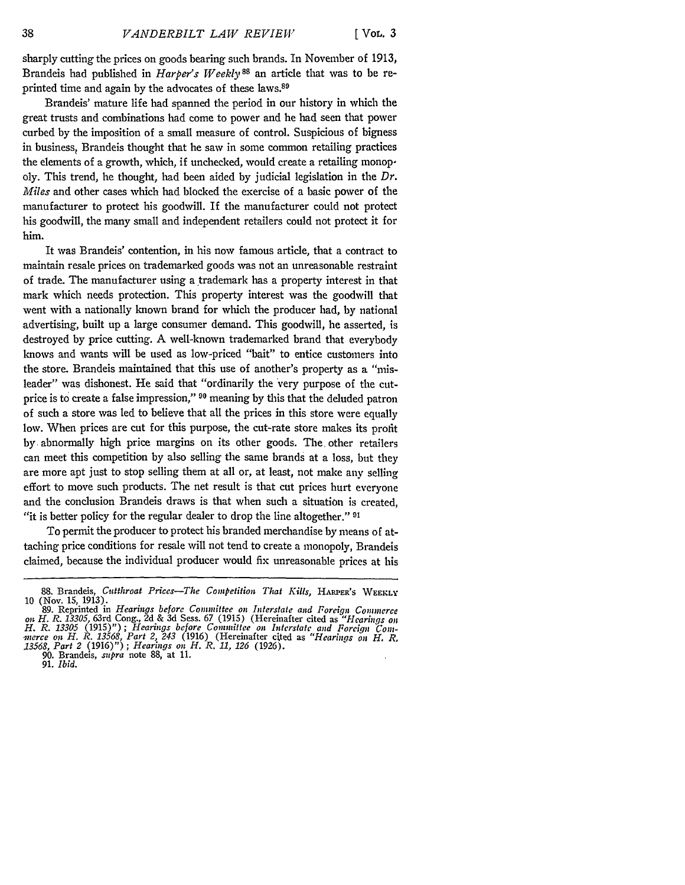sharply cutting the prices on goods bearing such brands. In November of 1913, Brandeis had published in *Harper's Weekly <sup>88</sup>*an article that was to be reprinted time and again by the advocates of these laws.<sup>89</sup>

Brandeis' mature life had spanned the period in our history in which the great trusts and combinations had come to power and he had seen that power curbed **by** the imposition of a small measure of control. Suspicious of bigness in business, Brandeis thought that he saw in some common retailing practices the elements of a growth, which, if unchecked, would create a retailing monopoly. This trend, he thought, had been aided **by** judicial legislation in the *Dr. Miles* and other cases which had blocked the exercise of a basic power of the manufacturer to protect his goodwill. If the manufacturer could not protect his goodwill, the many small and independent retailers could not protect it for him.

It was Brandeis' contention, in his now famous article, that a contract to maintain resale prices on trademarked goods was not an unreasonable restraint of trade. The manufacturer using a trademark has a property interest in that mark which needs protection. This property interest was the goodwill that went with a nationally known brand for which the producer had, **by** national advertising, built up a large consumer demand. This goodwill, he asserted, is destroyed **by** price cutting. A well-known trademarked brand that everybody knows and wants will be used as low-priced "bait" to entice customers into the store. Brandeis maintained that this use of another's property as a "misleader" was dishonest. He said that "ordinarily the 'very purpose of the cutprice is to create a false impression," **90** meaning **by** this that the deluded patron of such a store was led to believe that all the prices in this store were equally low. When prices are cut for this purpose, the cut-rate store makes its profit **by** abnormally high price margins on its other goods. The other retailers can meet this competition **by** also selling the same brands at a loss, but they are more apt just to stop selling them at all or, at least, not make **any** selling effort to move such products. The net result is that cut prices hurt everyone and the conclusion Brandeis draws is that when such a situation is created, "it is better policy for the regular dealer to drop the line altogether." **91**

To permit the producer to protect his branded merchandise **by** means of attaching price conditions for resale will not tend to create a monopoly, Brandeis claimed, because the individual producer would fix unreasonable prices at his

**90.** Brandeis, *supra* note **88,** at **11.**

**91.** *Ibid.*

<sup>88.</sup> Brandeis, *Cutthroat Prices-The Competition That Kills*, HARPER'S WEEKLY (Nov. 15, 1913). 10 (Nov. 15, 1913). **89.** Reprinted in *Hearings before Committee on Interstate and Foreign Coininerce*

on H. R. 13305, 63rd Cong., 2d & 3d Sess. 67 (1915) (Hereinafter cited as "Hearings on<br>H. R. 13305 (1915)"); Hearings before Committee on Interstate and Forcign Com-<br>merce on H. R. 13568, Part 2, 243 (1916) (Hereinafter ci *13568, Part 2* (1916)") *; Hearings on H. R. 11, 126* (1926).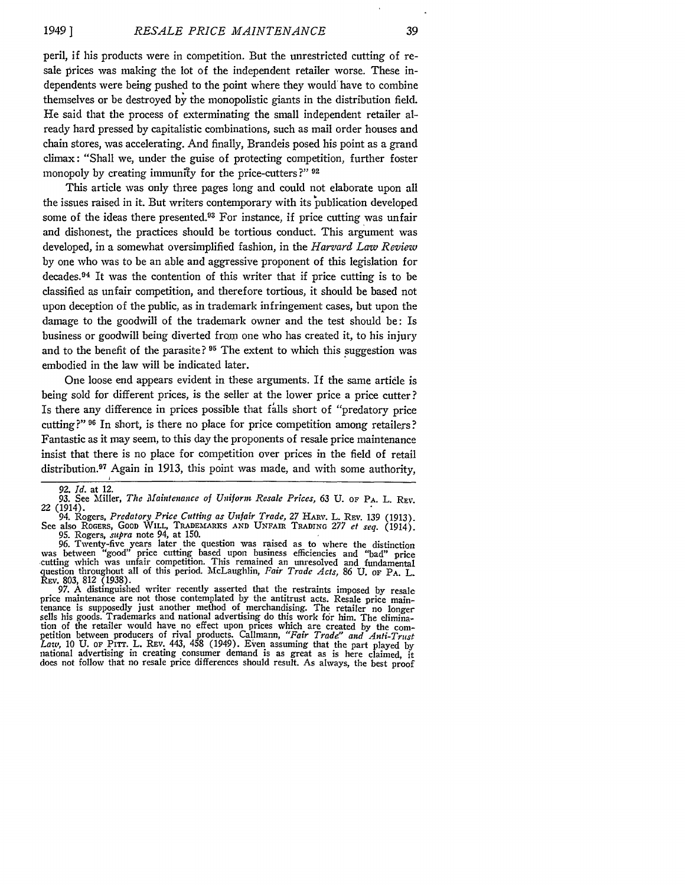peril, if his products were in competition. But the unrestricted cutting of resale prices was making the lot of the independent retailer worse. These independents were being pushed to the point where they would have to combine themselves or be destroyed **by** the monopolistic giants in the distribution field. He said that the process of exterminating the small independent retailer already hard pressed **by** capitalistic combinations, such as mail order houses and chain stores, was accelerating. And finally, Brandeis posed his point as a grand climax: "Shall we, under the guise of protecting competition, further foster monopoly **by** creating immunity for the price-cutters ?" **<sup>92</sup>**

This article was only three pages long and could not elaborate upon all the issues raised in it. But writers contemporary with its publication developed some of the ideas there presented.<sup>93</sup> For instance, if price cutting was unfair and dishonest, the practices should be tortious conduct. This argument was developed, in a somewhat oversimplified fashion, in the *Harvard Law Review* **by** one who was to be an able and aggressive proponent of this legislation for decades.<sup>94</sup> It was the contention of this writer that if price cutting is to be classified as unfair competition, and therefore tortious, it should be based not upon deception of the public, as in trademark infringement cases, but upon the damage to the goodwill of the trademark owner and the test should be: Is business or goodwill being diverted from one who has created it, to his injury and to the benefit of the parasite? **95** The extent to which this suggestion was embodied in the law will be indicated later.

One loose end appears evident in these arguments. If the same article is being sold for different prices, is the seller at the lower price a price cutter? Is there any difference in prices possible that fills short of "predatory price cutting?" <sup>96</sup> In short, is there no place for price competition among retailers? Fantastic as it may seem, to this day the proponents of resale price maintenance insist that there is no place for competition over prices in the field of retail distribution.<sup>97</sup> Again in 1913, this point was made, and with some authority,

94. Rogers, *Predatory Price Cutting as Unfair Trade, 27* HARV. L. REv. 139 (1913). See also ROGERS, GOOD WILL, TRADEMARKS **AND** UNFAIR **TRADING** *277 et seq.* (1914). **95.** Rogers, *supra* note 94, at 150.

96. Twenty-five years later the question was raised as to where the distinction was between "good" price cutting based upon business efficiencies and "bad" price cutting which was unfair competition. This remained an unres **REV.** 803, 812 (1938). **97.** A distinguished writer recently asserted that the restraints imposed **by** resale

price maintenance are not those contemplated **by** the antitrust acts. Resale price maintenance is supposedly just another method of merchandising. The retailer no longer sells his goods. Trademarks and national advertising do this work for him. The elimination of the retailer would have no effect upon prices which are created **by** the com- petition between producers of rival products. Callmann, *"Fair Trade" and Anti-Trust Law,* 10 **U. OF** PITT. L. REv. 443, 458 (1949). Even assuming that the part played by national advertising in creating consumer demand is as great as is here claimed, it does not follow that no resale price differences should result. As always, the best proof

*<sup>92.</sup> Id.* at 12.

**<sup>93.</sup>** See Miller, *The Maintenance of Uniform Resale Prices, 63* **U.** OF **PA.** L. REv. 22 (1914).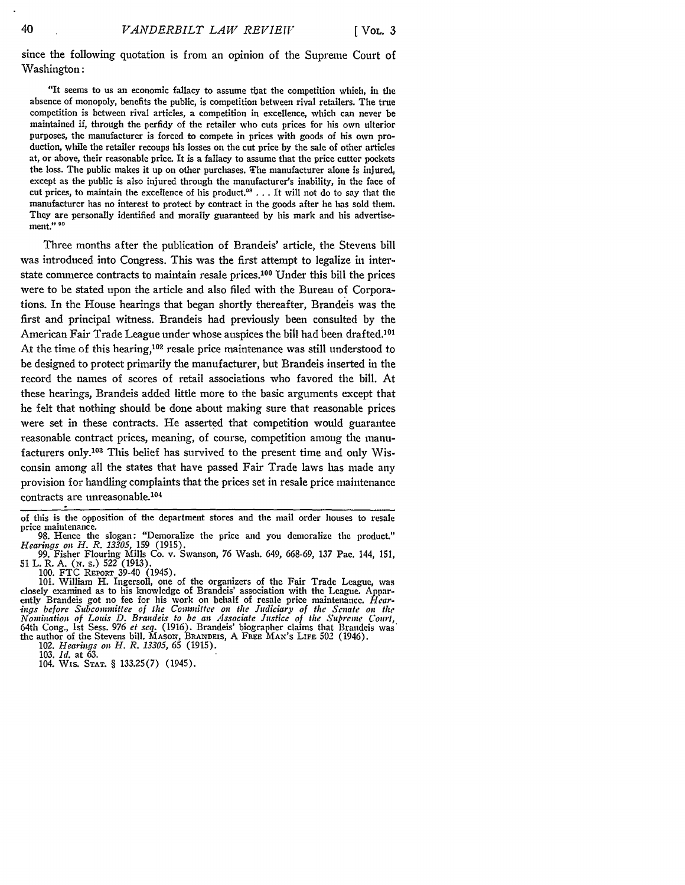since the following quotation is from an opinion of the Supreme Court of Washington:

"It seems to us an economic fallacy to assume that the competition which, in the absence of monopoly, benefits the public, is competition between rival retailers. The true competition is between rival articles, a competition in excellence, which can never be maintained if, through the perfidy of the retailer who cuts prices for his own ulterior purposes, the manufacturer is forced to compete in prices with goods of his own production, while the retailer recoups his losses on the cut price by the sale of other articles at, or above, their reasonable price. It is a fallacy to assume that the price cutter pockets the loss. The public makes it up on other purchases. The manufacturer alone is injured, except as the public is also injured through the manufacturer's inability, in the face of cut prices, to maintain the excellence of his product.<sup>08</sup> . . . It will not do to say that the manufacturer has no interest to protect by contract in the goods after he has sold them. They are personally identified and morally guaranteed by his mark and his advertisement." **99**

Three months after the publication of Brandeis' article, the Stevens bill was introduced into Congress. This was the first attempt to legalize in interstate commerce contracts to maintain resale prices. 100 Under this bill the prices were to be stated upon the article and also filed with the Bureau of Corporations. In the House hearings that began shortly thereafter, Brandeis was the first and principal witness. Brandeis had previously been consulted by the American Fair Trade League under whose auspices the bill had been drafted.<sup>101</sup> At the time of this hearing,<sup>102</sup> resale price maintenance was still understood to be designed to protect primarily the manufacturer, but Brandeis inserted in the record the names of scores of retail associations who favored the bill. At these hearings, Brandeis added little more to the basic arguments except that he felt that nothing should be done about making sure that reasonable prices were set in these contracts. He asserted that competition would guarantee reasonable contract prices, meaning, of course, competition among the manufacturers only.<sup>103</sup> This belief has survived to the present time and only Wisconsin among all the states that have passed Fair Trade laws has made any provision for handling complaints that the prices set in resale price maintenance contracts are unreasonable.<sup>104</sup>

102. *Hearings on H. R. 13305,* 65 (1915).

103. *Id.* at **63.**

104. Wis. **STAT.** § 133.25(7) (1945).

40

of this is the opposition of the department stores and the mail order houses to resale price maintenance.

<sup>98.</sup> Hence the slogan: "Demoralize the price and you demoralize the product." *Hearings oil H. R. 13305,* 159 (1915). 99. Fisher Flouring Mills Co. v. Swanson, 76 Wash. 649, 668-69, 137 Pac. 144, 151,

**<sup>51</sup>** L. R. A. **(w.** s.) 522 (1913). 100. FTC REPORT 39-40 (1945).

<sup>101.</sup> William H. Ingersoll, one of the organizers of the Fair Trade League, was closely examined as to his knowledge of Brandeis' association with the League. Appar-ently Brandeis got no fee for his work on behalf of resale price maintenance. *Hearoings before Subcommittee of the Committee on the Judiciary of the Senate on the Nomination of Louis D. Brandeis to be an Associate Jnstice of the Supreme Court,* 64th Cong., **1st** Sess. **976** *et seq.* (1916). Brandeis' biographer claims that Brandeis was the author of the Stevens bill. MAsoN, **BRANDEIS,** A FREE MAx's LIFE 502 (1946).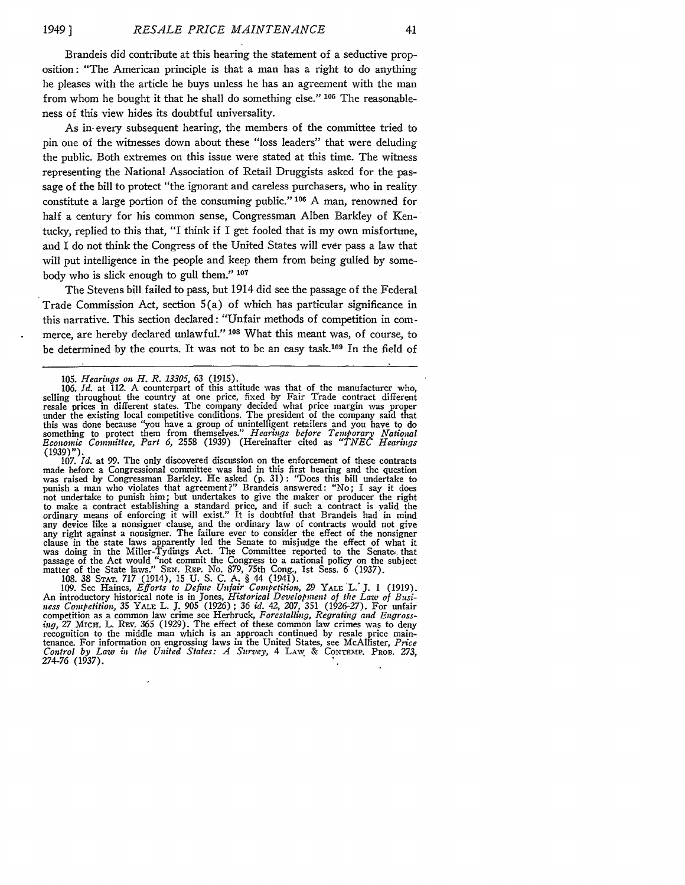Brandeis did contribute at this hearing the statement of a seductive proposition: "The American principle is that a man has a right to do anything he pleases with the article he buys unless he has an agreement with the man from whom he bought it that he shall do something else." **105** The reasonableness of this view hides its doubtful universality.

As in- every subsequent hearing, the members of the committee tried to pin one of the witnesses down about these "loss leaders" that were deluding the public. Both extremes on this issue were stated at this time. The witness representing the National Association of Retail Druggists asked for the passage of the bill to protect "the ignorant and careless purchasers, who in reality constitute a large portion of the consuming public." **106** A man, renowned for half a century for his common sense, Congressman Alben Barkley of Kentucky, replied to this that, "I think if I get fooled that is my own misfortune, and I do not think the Congress of the United States will ever pass a law that will put intelligence in the people and keep them from being gulled by somebody who is slick enough to gull them." **<sup>107</sup>**

The Stevens bill failed to pass, but 1914 did see the passage of the Federal Trade Commission Act, section 5(a) of which has particular significance in this narrative. This section declared: "Unfair methods of competition in commerce, are hereby declared unlawful." **108** What this meant was, of course, to be determined by the courts. It was not to be an easy task.<sup>109</sup> In the field of

105. *Hearings on H. R. 13305, 63* (1915). 106. *Id.* at 112. A counterpart of this attitude was that of the manufacturer who, selling throughout the country at one price, fixed by Fair Trade contract different<br>resale prices in different states. The company decided what price margin was proper<br>under the existing local competitive conditions. The p this was done because "you have a group of unintelligent retailers and you have to do<br>something to protect them from themselves." Hearings before Temporary National<br>Economic Committee, Part 6, 2558 (1939) (Hereinafter cite

(1939)"). 107. *Id.* at 99. The only discovered discussion on the enforcement of these contracts made before a Congressional committee was had in this first hearing and the question was raised by Congressman Barkley. He asked **(p.** 31): "Does this bill undertake to punish a man who violates that agreement?" Brandeis answered: "No; I say it does not undertake to punish him; but undertakes to give the maker or producer the right to make a contract establishing a standard price, and if such a contract is valid the ordinary means of enforcing it will exist." It is doubtful that Brandeis had in mind any device like a nonsigner clause, and the ordinary law of contracts would not give any right against a nonsigner. The failure ever to consider the effect of the nonsigner clause in the state laws apparently led the Senate to misjudge the effect of what it was doing in the Miller-Tydings Act. The Committee reported to the Senate, that passage of the Act would "not commit the Congress to a na matter of the State laws." **SEx.** REP. No. 879, 75th Cong., 1st Sess. 6 (1937). 108. 38 STAT. 717 (1914), 15 U. S. C. A. § 44 (1941).

109. See Haines, *Efforts to Define Unfair Competition,* 29 YALE **L." J.** 1 (1919). An introductory historical note is in Jones, *Historical Development of* the *Lazo of* Busi*ness Competition,* 35 YALE L. J. 905 (1926) ; *36 id.* 42, 207, 351 (1926-27). For unfair competition as a common law crime see Herbruck, *Forestalling, Regrating and Engrossing, 27 MICH. L. REV. 365 (1929). The effect of these common law crimes was to deny* recognition to the middle man which is an approach continued by resale price maintenance. For information on engrossing laws in the United States, see McAllister, *Price Control by Law in the United States: A Survey,* 4 LAW & **CONTEIfP.** PROB. **273,** 274-76 (1937).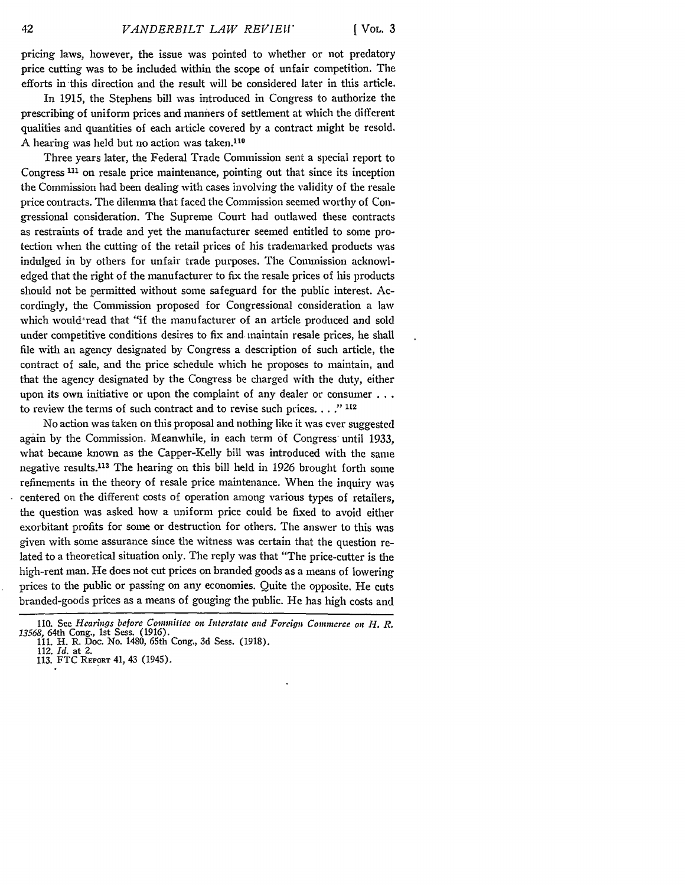pricing laws, however, the issue was pointed to whether or not predatory price cutting was to be included within the scope of unfair competition. The efforts in-this direction and the result will be considered later in this article.

In 1915, the Stephens bill was introduced in Congress to authorize the prescribing of uniform prices and manners of settlement at which the different qualities and quantities of each article covered **by** a contract might be resold. A hearing was held but no action was taken.<sup>110</sup>

Three years later, the Federal Trade Commission sent a special report to Congress **111** on resale price maintenance, pointing out that since its inception the Commission had been dealing with cases involving the validity of the resale price contracts. The dilemma that faced the Commission seemed worthy of Congressional consideration. The Supreme Court had outlawed these contracts as restraints of trade and yet the manufacturer seemed entitled to some protection when the cutting of the retail prices of his trademarked products was indulged in **by** others for unfair trade purposes. The Commission acknowledged that the right of the manufacturer to fix the resale prices of his products should not be permitted without some safeguard for the public interest. Accordingly, the Commission proposed for Congressional consideration a law which would'read that "if the manufacturer of an article produced and sold under competitive conditions desires to fix and maintain resale prices, he shall file with an agency designated **by** Congress a description of such article, the contract of sale, and the price schedule which he proposes to maintain, and that the agency designated **by** the Congress be charged with the duty, either upon its own initiative or upon the complaint of any dealer or consumer **...** to review the terms of such contract and to revise such prices. . . .<sup>*n*</sup> 112</sup>

No action was taken on this proposal and nothing like it was ever suggested again **by** the Commission. Meanwhile, in each term of Congress' until 1933, what became known as the Capper-Kelly bill was introduced with the same negative results.<sup>113</sup> The hearing on this bill held in 1926 brought forth some refinements in the theory of resale price maintenance. When the inquiry was centered on the different costs of operation among various types of retailers, the question was asked how a uniform price could be fixed to avoid either exorbitant profits for some or destruction for others. The answer to this was given with some assurance since the witness was certain that the question related to a theoretical situation only. The reply was that "The price-cutter is the high-rent man. He does not cut prices on branded goods as a means of lowering prices to the public or passing on any economies. Quite the opposite. He cuts branded-goods prices as a means of gouging the public. He has high costs and

<sup>110.</sup> See *Hearings before Connittec on Interstate and Foreign Commerce on H. R. 13568,* 64th Cong., 1st Sess. (1916). 111. H. R. Doc. No. 1480, 65th Cong., 3d Sess. (1918).

<sup>112.</sup> *Id.* at 2.

<sup>113.</sup> FTC **REPORT** 41, 43 (1945).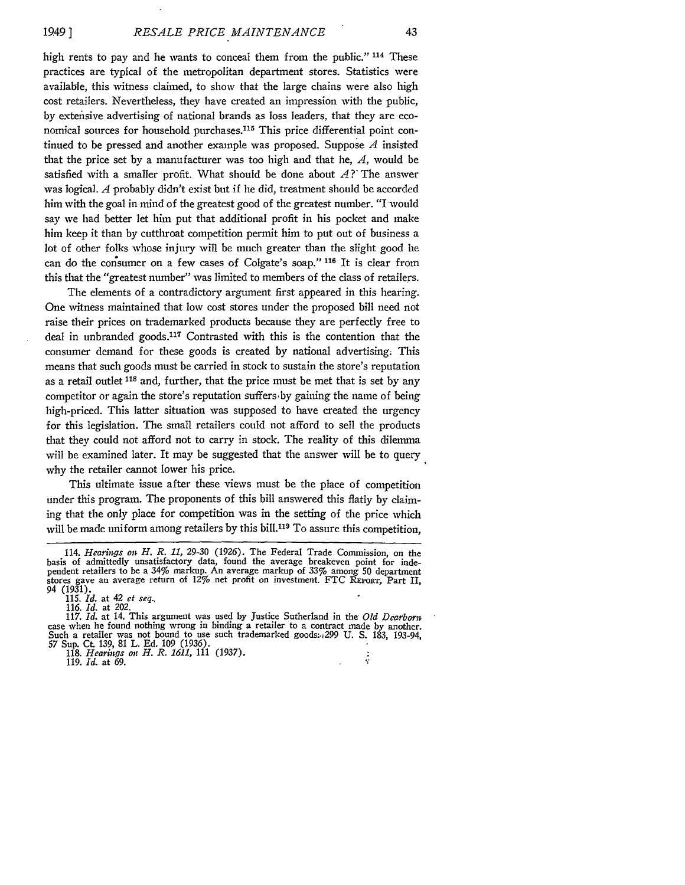high rents to pay and he wants to conceal them from the public." <sup>114</sup> These practices are typical of the metropolitan department stores. Statistics were available, this witness claimed, to show that the large chains were also high cost retailers. Nevertheless, they have created an impression with the public, by extensive advertising of national brands as loss leaders, that they are economical sources for household purchases.<sup>115</sup> This price differential point continued to be pressed and another example was proposed. Suppose *A* insisted that the price set by a manufacturer was too high and that he, *A,* would be satisfied with a smaller profit. What should be done about  $A$ ? The answer was logical. A probably didn't exist but if he did, treatment should be accorded him with the goal in mind of the greatest good of the greatest number. "I would say we had better let him put that additional profit in his pocket and make him keep it than by cutthroat competition permit him to put out of business a lot of other folks whose injury will be much greater than the slight good he can do the consumer on a few cases of Colgate's soap." **116** It is clear from this that the "greatest number" was limited to members of the class of retailers.

The elements of a contradictory argument first appeared in this hearing. One witness maintained that low cost stores under the proposed bill need not raise their prices on trademarked products because they are perfectly free to deal in unbranded goods.<sup>117</sup> Contrasted with this is the contention that the consumer demand for these goods is created by national advertising. This means that such goods must be carried in stock to sustain the store's reputation as a retail outlet **118** and, further, that the price must be met that is set **by** any competitor or again the store's reputation suffers by gaining the name of being high-priced. This latter situation was supposed to have created the urgency for this legislation. The small retailers could not afford to sell the products that they could not afford not to carry in stock. The reality of this dilemma will be examined later. It may be suggested that the answer will be to query why the retailer cannot lower his price.

This ultimate issue after these views must be the place of competition under this program. The proponents of this bill answered this flatly **by** claiming that the only place for competition was in the setting of the price which will be made uniform among retailers by this bill.<sup>119</sup> To assure this competition.

116. *Id.* at 202. 117. *Id.* at 14. This argument was used **by** Justice Sutherland in the *Old Dearborn* case when he found nothing wrong in binding a retailer to a contract made **by** another. Such a retailer was not bound to use such trademarked goods:.,299 **U. S.** 183, 193-94,

57 Sup. **Ct, 139,** 81 L. **Ed. 109 (1936).** 118. *Hearings on H. R. 1611,* 111 (1937). **119.** *Id.* at **69.**

 $\frac{1}{2}$ 

<sup>114.</sup> *Hearings on H. R. 11,* 29-30 (1926). The Federal Trade Commission, on the basis of admittedly unsatisfactory data, found the average breakeven point for independent retailers to be a 34% markup. An average markup of 33% among **50** department stores gave an average return of 12% net profit on investment. FTC REPoRT, Part II, 94 (1931).

<sup>115.</sup> *Id.* at 42 *et seq.,*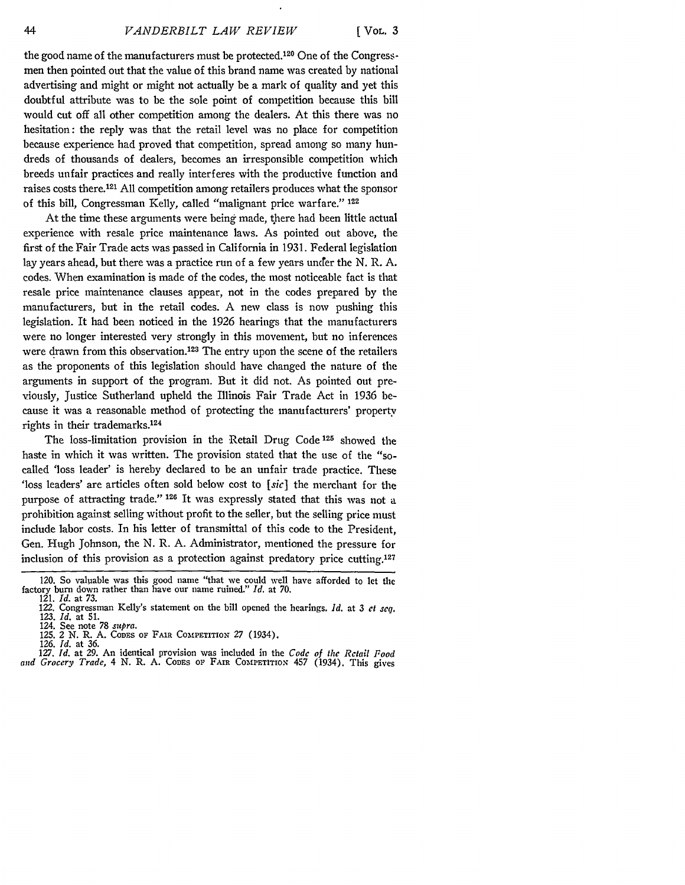**[ VOL. 3**

the good name of the manufacturers must be protected.<sup>120</sup> One of the Congressmen then pointed out that the value of this brand name was created by national advertising and might or might not actually be a mark of quality and yet this doubtful attribute was to be the sole point of competition because this bill would cut off all other competition among the dealers. At this there was no hesitation: the reply was that the retail level was no place for competition because experience had proved that competition, spread among so many hundreds of thousands of dealers, becomes an irresponsible competition which breeds unfair practices and really interferes with the productive function and raises costs there. 121 All competition among retailers produces what the sponsor of this bill, Congressman Kelly, called "malignant price warfare." 122

At the time these arguments were being made, there had been little actual experience with resale price maintenance laws. As pointed out above, the first of the Fair Trade acts was passed in California in 1931. Federal legislation lay years ahead, but there was a practice run of a few years undfer the N. R. A. codes. When examination is made of the codes, the most noticeable fact is that resale price maintenance clauses appear, not in the codes prepared by the manufacturers, but in the retail codes. A new class is now pushing this legislation. It had been noticed in the 1926 hearings that the manufacturers were no longer interested very strongly in this movement, but no inferences were drawn from this observation.<sup>123</sup> The entry upon the scene of the retailers as the proponents of this legislation should have changed the nature of the arguments in support of the program. But it did not. As pointed out previously, Justice Sutherland upheld the Illinois Fair Trade Act in 1936 because it was a reasonable method of protecting the manufacturers' property rights in their trademarks.<sup>124</sup>

The loss-limitation provision in the Retail Drug Code **125** showed the haste in which it was written. The provision stated that the use of the "socalled 'loss leader' is hereby declared to be an unfair trade practice. These 'loss leaders' are articles often sold below cost to *[sic]* the merchant for the purpose of attracting trade." **126** It was expressly stated that this was not a prohibition against selling without profit to the seller, but the selling price must include labor costs. In his letter of transmittal of this code to the President, Gen. Hugh Johnson, the N. R. A. Administrator, mentioned the pressure for inclusion of this provision as a protection against predatory price cutting.<sup>127</sup>

<sup>120.</sup> So valuable was this good name "that we could well have afforded to let the factory burn down rather than have our name ruined." *Id.* at 70. 121. *Id.* at 73.

<sup>122.</sup> Congressman Kelly's statement on the bill opened the hearings. *Id.* at 3 *ct seq.* **123.** *Id.* at 51. 124. See note 78 *supra.*

<sup>125. 2</sup> N. R. A. CODES OF FAIR COMPETITION 27 (1934).

<sup>126.</sup> *Id.* at 36. 127. *Id.* at 29. An identical provision was included in the *Code of the Retail Food* and Grocery Trade, 4 N. R. A. CODES OF FAIR COMPETITION 457 (1934). This gives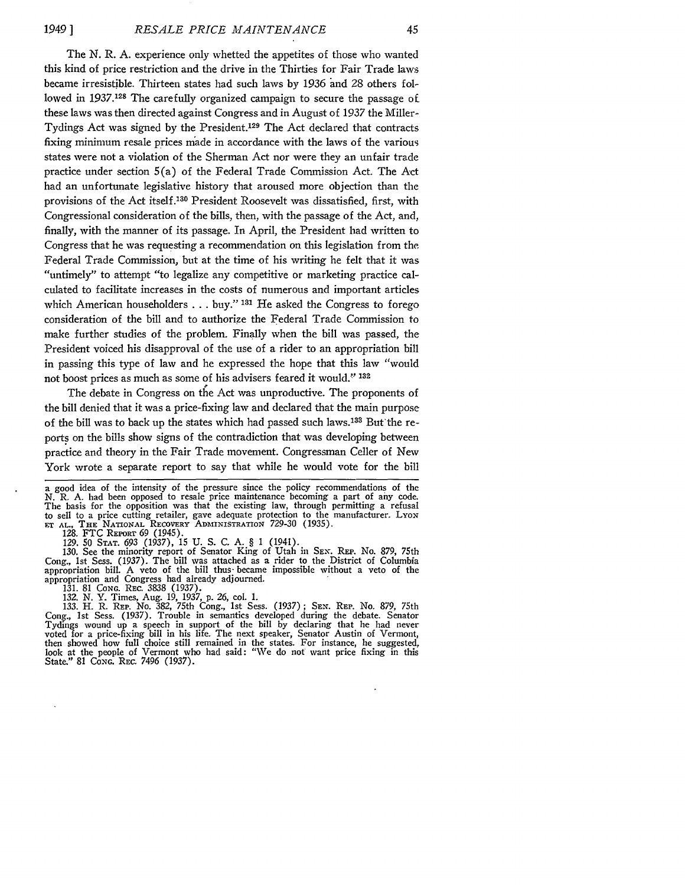The N. R. A. experience only whetted the appetites of those who wanted this kind of price restriction and the drive in the Thirties for Fair Trade laws became irresistible. Thirteen states had such laws by 1936 and 28 others followed in 1937.128 The carefully organized campaign to secure the passage of these laws was then directed against Congress and in August of 1937 the Miller-Tydings Act was signed by the President.129 The Act declared that contracts fixing minimum resale prices made in accordance with the laws of the various states were not a violation of the Sherman Act nor were they an unfair trade practice under section 5(a) of the Federal Trade Commission Act. The Act had an unfortunate legislative history that aroused more objection than the provisions of the Act itself. 130 President Roosevelt was dissatisfied, first, with Congressional consideration of the bills, then, with the passage of the Act, and, finally, with the manner of its passage. In April, the President had written to Congress that he was requesting a recommendation on this legislation from the Federal Trade Commission, but at the time of his writing he felt that it was "untimely" to attempt "to legalize any competitive or marketing practice calculated to facilitate increases in the costs of numerous and important articles which American householders **...** buy." **131** He asked the Congress to forego consideration of the bill and to authorize the Federal Trade Commission to make further studies of the problem. Finally when the bill was passed, the President voiced his disapproval of the use of a rider to an appropriation bill in passing this type of law and he expressed the hope that this law "would not boost prices as much as some of his advisers feared it would." **<sup>132</sup>**

The debate in Congress on the Act was unproductive. The proponents of the bill denied that it was a price-fixing law and declared that the main purpose of the bill was to back up the states which had passed such laws.133 But'the reports on the bills show signs of the contradiction that was developing between practice and theory in the Fair Trade movement. Congressman Celler of New York wrote a separate report to say that while he would vote for the bill

a good idea of the intensity of the pressure since the policy recommendations of the N. R. A. had been opposed to resale price maintenance becoming a part of any code. The basis for the opposition was that the existing law, through permitting a refusal to sell to a price cutting retailer, gave adequate protection to the manufacturer. Lyon<br>
ET AL., THE NATIONAL RECOVERY ADMINISTRATION 729-30 (1935).<br>
128. FTC REPORT 69 (1945).

129. 50 **STAT.** *693* (1937), 15 U. S. C. A. § 1 (1941).

130. See the minority report of Senator King of Utah in **SEN.** REP. No. 879, 75th Cong., 1st Sess. (1937). The bill was attached as a rider to the District of Columbia appropriation bill. A veto of the bill thus- became impossible without a veto of the appropriation and Congress had already adjourned.

131. 81 CONG. REc. 3838 (1937). 132. N. Y. Times, Aug. 19, 1937, p. 26, col. 1.

133. H. R. REP. No. 382, 75th Cong., 1st Sess. (1937); SEN. REP. No. 879, 75th Cong., 1st Sess. (1937). Trouble in semantics developed during the debate. Senator Tydings wound up a speech in support of the bill by declarin voted for a price-fixing bill in his life. The next speaker, Senator Austin of Vermont, then showed how full choice still remained in the states. For instance, he suggested, look at the people of Vermont who had said: "We do not want price fixing in this State." 81 CoNG. REc. 7496 (1937).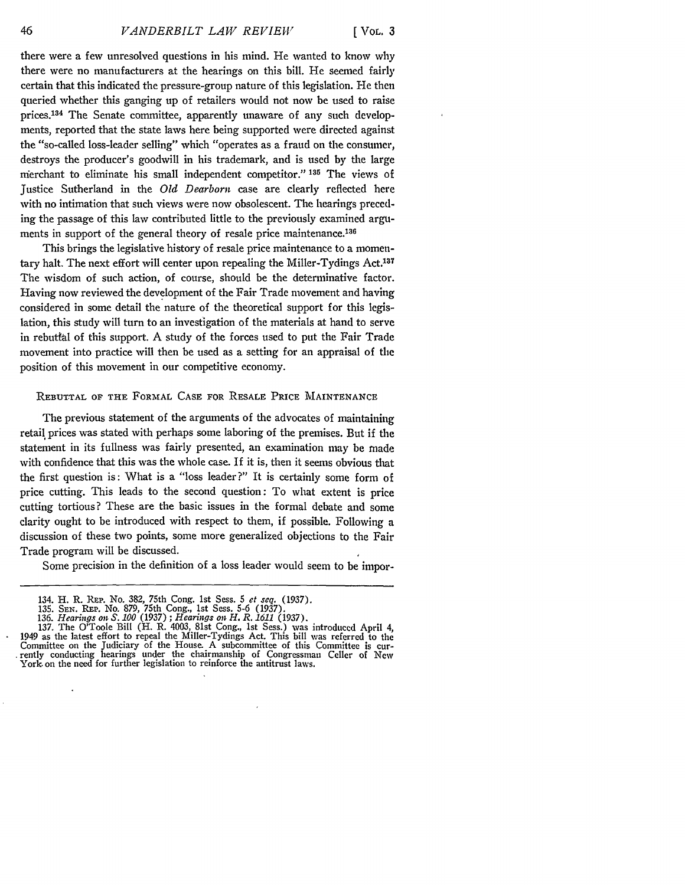there were a few unresolved questions in his mind. He wanted to know why there were no manufacturers at the hearings on this bill. He seemed fairly certain that this indicated the pressure-group nature of this legislation. He then queried whether this ganging up of retailers would not now be used to raise prices. 134 The Senate committee, apparently unaware of any such developments, reported that the state laws here being supported were directed against the "so-called loss-leader selling" which "operates as a fraud on the consumer, destroys the producer's goodwill in his trademark, and is used by the large rmerchant to eliminate his small independent competitor." **135** The views of justice Sutherland in the *Old Dearborn* case are clearly reflected here with no intimation that such views were now obsolescent. The hearings preceding the passage of this law contributed little to the previously examined arguments in support of the general theory of resale price maintenance.<sup>136</sup>

This brings the legislative history of resale price maintenance to a momentary halt. The next effort will center upon repealing the Miller-Tydings Act.<sup>137</sup> The wisdom of such action, of course, should be the determinative factor. Having now reviewed the development of the Fair Trade movement and having considered in some detail the nature of the theoretical support for this legislation, this study will turn to an investigation of the materials at hand to serve in rebuttal of this support. A study of the forces used to put the Fair Trade movement into practice will then be used as a setting for an appraisal of the position of this movement in our competitive economy.

### REBUTTAL **OF** THE FORMAL **CASE** FOR RESALE PRICE MAINTENANCE

The previous statement of the arguments of the advocates of maintaining retail prices was stated with perhaps some laboring of the premises. But if the statement in its fullness was fairly presented, an examination may be made with confidence that this was the whole case. If it is, then it seems obvious that the first question is: What is a "loss leader?" It is certainly some form of price cutting. This leads to the second question: To what extent is price cutting tortious? These are the basic issues in the formal debate and some clarity ought to be introduced with respect to them, if possible. Following a discussion of these two points, some more generalized objections to the Fair Trade program will be discussed.

Some precision in the definition of a loss leader would seem to be impor-

<sup>134.</sup> H. R. REP. No. **382,** 75th Cong. 1st Sess. 5 *et seq.* (1937).

<sup>135.</sup> **SEN. REP.** No. 879, 75th Cong., 1st Sess. 5-6 (1937). 136. *Hearings on S.* 100 **(1937) ;** *Hearings on H. R. 1611* **(1937).**

**<sup>137.</sup>** The O'Toole Bill (H. R. 4003, 81st Cong., 1st Sess.) was introduced April 4, 1949 as the latest effort to repeal the Miller-Tydings Act. This bill was referred to the Committee on the Judiciary of the House. A subcommittee of this Committee is cur- rently conducting hearings under the chairmanship of Congressman Celler of New York. on the need for further legislation to reinforce the antitrust laws.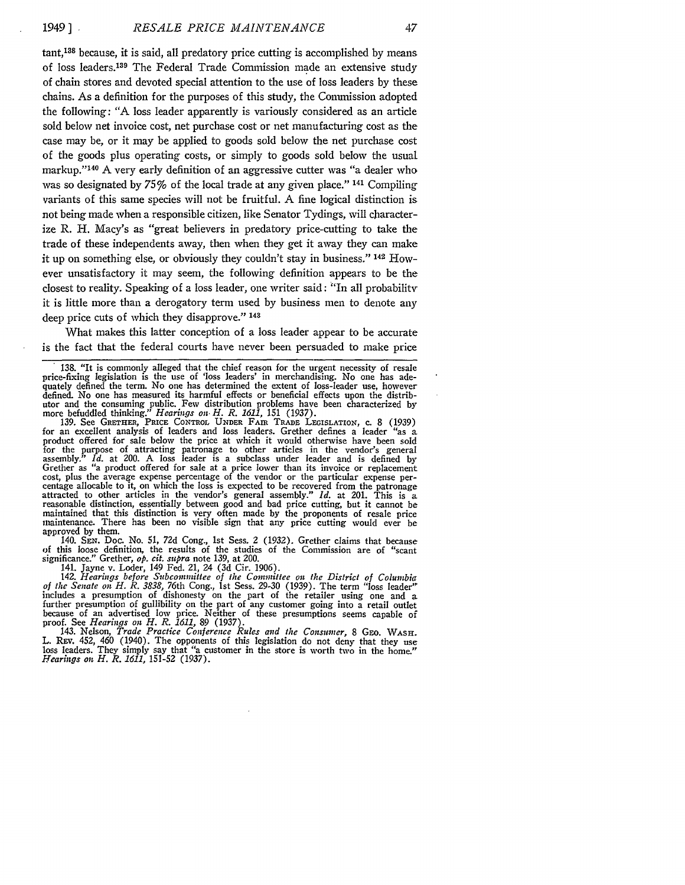tant,13s because, it is said, all predatory price cutting is accomplished by means of loss leaders. 139 The Federal Trade Commission made an extensive study of chain stores and devoted special attention to the use of loss leaders by these chains. As a definition for the purposes of this study, the Commission adopted the following: **"A** loss leader apparently is variously considered as an article sold below net invoice cost, net purchase cost or net manufacturing cost as the case may be, or it may be applied to goods sold below the net purchase cost of the goods plus operating costs, or simply to goods sold below the usual markup."<sup>140</sup> A very early definition of an aggressive cutter was "a dealer who was so designated by *75* % of the local trade at any given place." 141 Compiling variants of this same species will not be fruitful. **A** fine logical distinction is not being made when a responsible citizen, like Senator Tydings, will characterize R. H. Macy's as "great believers in predatory price-cutting to take the trade of these independents away, then when they get it away they can make it up on something else, or obviously they couldn't stay in business." 142 However unsatisfactory it may seem, the following definition appears to be the closest to reality. Speaking of a loss leader, one writer said: "In all probability it is little more than a derogatory term used by business men to denote any deep price cuts of which they disapprove." **<sup>143</sup>**

What makes this latter conception of a loss leader appear to be accurate is the fact that the federal courts have never been persuaded to make price

for an excellent analysis of leaders and loss leaders. Grether defines a leader "as a product offered for sale below the price at which it would otherwise have been sold for the purpose of attracting patronage to other articles in the vendor's general assembly." *Id.* at 200. A loss leader is a subclass under leader and is defined by Grether as "a product offered for sale at a price lower than its invoice or replacement cost, plus the average expense percentage of the vendor or the particular expense percentage allocable to it, on which the loss is expected to be recovered from the patronage attracted to other articles in the vendor's general assembly." *Id.* at 201. This is a reasonable distinction, essentially between good and bad price cutting, but it cannot be maintained that this distinction is very often made by the proponents of resale price maintenance. There has been no visible sign that any price cutting would ever be approved by them.

140. **SEN.** Doc. No. *51, 72d* Cong., 1st Sess. 2 (1932). Grether claims that because of this loose definition, the results of the studies of the Commission are of "scant significance." Grether, *op. cit. supra* note 139, at 200.

141. Jayne v. Loder, 149 Fed. 21, 24 (3d Cir. 1906). 142. *Hearings before Subcommittee of the Committee on the District of Columbia of the Senate on H. R. 3838,* 76th Cong., 1st Sess. 29-30 (1939). The term "loss leader" includes a presumption of dishonesty on the part of the retailer using one and a further presumption of gullibility on the part of any customer going into a retail outlet because of an advertised low price. Neither of these presumptions seems capable of proof. See *Hearings on H. R. 1611,* 89 (1937).

143. Nelson, *Trade Practice Conference Rules and the Consumer*, 8 GEO. WASH.<br>L. REv. 452, 460 (1940). The opponents of this legislation do not deny that they use loss leaders. They simply say that "a customer in the store is worth two in the home." *Hearings on H. R. 1611,* 151-52 (1937).

<sup>138. &</sup>quot;It is commonly alleged that the chief reason for the urgent necessity of resale price-fixing legislation is the use of 'loss leaders' in merchandising. No one has adequately defined the term. No one has determined the extent of loss-leader use, however defined. No one has measured its harmful effects or beneficial effects upon the distributor and the consuming public. Few distribution problems have been characterized by<br>more befuddled thinking." *Hearings on H. R. 1611*, 151 (1937).<br>139. See GRETHER, PRICE CONTROL UNDER FAIR TRADE LEGISLATION, c. 8 (1939)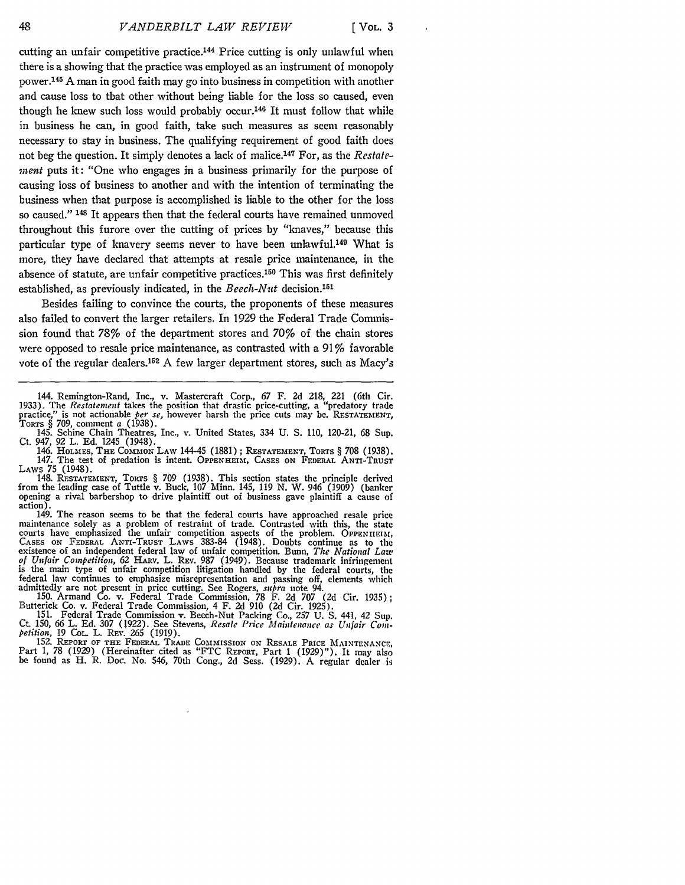cutting an unfair competitive practice.<sup>144</sup> Price cutting is only unlawful when there is a showing that the practice was employed as an instrument of monopoly power. 145 A man in good faith may go into business in competition with another and cause loss to that other without being liable for the loss so caused, even though he knew such loss would probably occur.<sup>146</sup> It must follow that while in business he can, in good faith, take such measures as seem reasonably necessary to stay in business. The qualifying requirement of good faith does not beg the question. It simply denotes a lack of malice.<sup>147</sup> For, as the *Restatement* puts it: "One who engages in a business primarily for the purpose of causing loss of business to another and with the intention of terminating the business when that purpose is accomplished is liable to the other for the loss so caused." **148** It appears then that the federal courts have remained unmoved throughout this furore over the cutting of prices by "knaves," because this particular type of knavery seems never to have been unlawful.<sup>149</sup> What is more, they have declared that attempts at resale price maintenance, in the absence of statute, are unfair competitive practices.<sup>150</sup> This was first definitely established, as previously indicated, in the *Beech-Nut* decision.<sup>15</sup>

Besides failing to convince the courts, the proponents of these measures also failed to convert the larger retailers. In 1929 the Federal Trade Commission found that 78% of the department stores and 70% of the chain stores were opposed to resale price maintenance, as contrasted with a 91% favorable vote of the regular dealers.<sup>152</sup> A few larger department stores, such as Macy's

146. **HOLMlES, THE CoMMON** LAW 144-45 (1881); **RESTATEMENT, TORTS** § **708** (1938). 147. The test of predation is intent. **OPPENHEIM , CASES ON** FEDERAL ANTI-TRUST LAWS 75 (1948).

148. **RESTATEMENT,** TORTS § **709** (1938). This section states the principle derived from the leading case of Tuttle v. Buck, **107** Minn. 145, 119 N. W. 946 (1909) (banker opening a rival barbershop to drive plaintiff out of business gave plaintiff a cause of action).

149. The reason seems to be that the federal courts have approached resale price maintenance solely as a problem of restraint of trade. Contrasted with this, the state courts have emphasized the unfair competition aspects of the problem. OPPENIIEIN,<br>CASES ON FEDERAL ANTI-TRUST LAWS 383-84 (1948). Doubts continue as to the<br>existence of an independent federal law of unfair competition. Bun *of Unfair Competition,* 62 HARV. L. **REV.** 987 (1949). Because trademark infringement is the main type of unfair competition litigation handled by the federal courts, the federal law continues to emphasize misrepresentation and passing off, elements which

admittedly are not present in price cutting. See Rogers, *supra* note 94.<br>150. Armand Co. v. Federal Trade Commission, 78 F. 2d 707 (2d Cir. 1935);<br>Butterick Co. v. Federal Trade Commission, 4 F. 2d 910 (2d Cir. 1925).<br>151

Ct. 150, 66 L. Ed. 307 (1922). See Stevens, Resale Price Maintenance as Unfair Completion, 19 Col. L. REV. 265 (1919).<br>
Petition, 19 Col. L. REV. 265 (1919).<br>
152. REPORT OF THE FEDERAL TRADE COMMISSION ON RESALE PRICE MAI

be found as H. R. Doc. No. 546, 70th Cong., 2d Sess. (1929). A regular dealer is

<sup>144.</sup> Remington-Rand, Inc., v. Mastercraft Corp., 67 F. 2d 218, 221 (6th Cir.<br>1933). The *Restatement* takes the position that drastic price-cutting, a "predatory trade<br>practice," is not actionable *per se*, however harsh t Torrs  $\S$  709, comment a (1938)

<sup>145.</sup> Schine Chain Theatres, Inc., v. United States, 334 U. **S.** 110, 120-21, 68 Sup. Ct. 947, 92 L. **Ed.** 1245 (1948).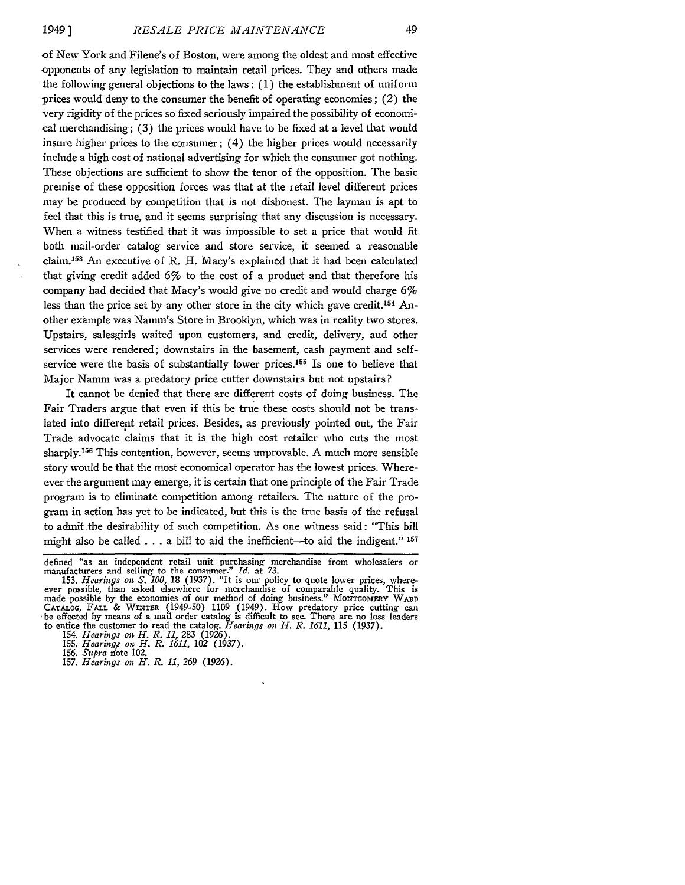**of** New York and Filene's of Boston, were among the oldest and most effective opponents of any legislation to maintain retail prices. They and others made the following general objections to the laws: **(1)** the establishment of uniform prices would deny to the consumer the benefit of operating economies; (2) the very rigidity of the prices so fixed seriously impaired the possibility of economical merchandising; **(3)** the prices would have to be fixed at a level that would insure higher prices to the consumer; (4) the higher prices would necessarily include a high cost of national advertising for which the consumer got nothing. These objections are sufficient to show the tenor of the opposition. The basic premise of these opposition forces was that at the retail level different prices may be produced **by** competition that is not dishonest. The layman is apt to feel that this is true, and it seems surprising that any discussion is necessary. When a witness testified that it was impossible to set a price that would fit both mail-order catalog service and store service, it seemed a reasonable claim.<sup>153</sup> An executive of R. H. Macy's explained that it had been calculated that giving credit added *6%* to the cost of a product and that therefore his company had decided that Macy's would give no credit and would charge **6%** less than the price set by any other store in the city which gave credit.<sup>154</sup> Another example was Namm's Store in Brooklyn, which was in reality two stores. Upstairs, salesgirls waited upon customers, and credit, delivery, and other services were rendered; downstairs in the basement, cash payment and selfservice were the basis of substantially lower prices.<sup>155</sup> Is one to believe that Major Namm was a predatory price cutter downstairs but not upstairs?

It cannot be denied that there are different costs of doing business. The Fair Traders argue that even if this be true these costs should not be translated into different retail prices. Besides, as previously pointed out, the Fair Trade advocate claims that it is the high cost retailer who cuts the most sharply.156 This contention, however, seems unprovable. **A** much more sensible story would be that the most economical operator has the lowest prices. Whereever the argument may emerge, it is certain that one principle of the Fair Trade program is to eliminate competition among retailers. The nature of the program in action has yet to be indicated, but this is the true basis of the refusal to admit the desirability of such competition. As one witness said: "This bill might also be called **. . .** a bill to aid the inefficient-to aid the indigent." **<sup>157</sup>**

**157.** *Hearings on H. R. 11, 269* **(1926).**

defined "as an independent retail unit purchasing merchandise from wholesalers or manufacturers and selling to the consumer." *Id.* **at** *73.*

**<sup>153.</sup>** *Hearings on S. 100,* **18 (1937).** "It is our policy to quote lower prices, where- ever possible, than asked elsewhere for merchandise of comparable quality. This is made possible **by** the economies of our method **of** doing business." **MoNTGOmERY WARD** CATALOG, FALL & WINTER (1949-50) 1109 (1949). How predatory price cutting can **,be** effected **by** means of a mail order catalog is difficult to see. There are no loss leaders to entice the customer to read the catalog. *Hearings on H. R. 1611,* **115 (1937).**

<sup>154.</sup> *Hearings on H. R. 11,* **283 (1926).**

**<sup>155.</sup>** *Hearings on H. R. 1611,* **102 (1937)<br>156.** *Supra* **note 102.**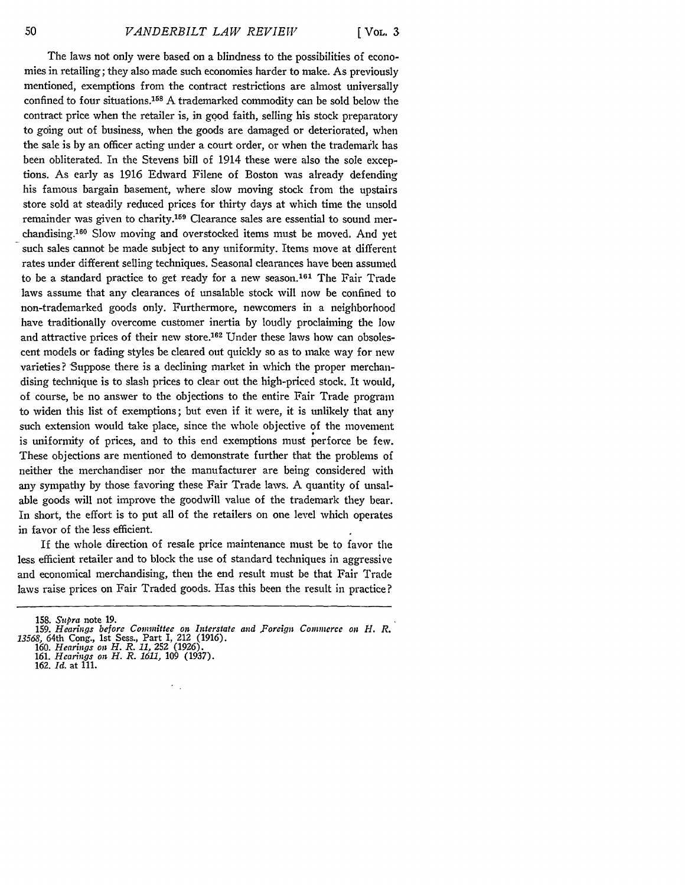**[ VOL. 3**

The laws not only were based on a blindness to the possibilities of economies in retailing; they also made such economies harder to make. As previously mentioned, exemptions from the contract restrictions are almost universally confined to four situations.158 A trademarked commodity can be sold below the contract price when the retailer is, in good faith, selling his stock preparatory to going out of business, when the goods are damaged or deteriorated, when the sale is by an officer acting under a court order, or when the trademark has been obliterated. In the Stevens bill of 1914 these were also the sole exceptions. As early as 1916 Edward Filene of Boston was already defending his famous bargain basement, where slow moving stock from the upstairs store sold at steadily reduced prices for thirty days at which time the unsold remainder was given to charity.<sup>159</sup> Clearance sales are essential to sound merchandising.160 Slow moving and overstocked items must be moved. And yet such sales cannot be made subject to any uniformity. Items move at different rates under different selling techniques. Seasonal clearances have been assumed to be a standard practice to get ready for a new season.<sup>161</sup> The Fair Trade laws assume that any clearances of unsalable stock will now be confined to non-trademarked goods only. Furthermore, newcomers in a neighborhood have traditionally overcome customer inertia by loudly proclaiming the low and attractive prices of their new store.162 Under these laws how can obsolescent models or fading styles be cleared out quickly so as to make way for new varieties? Suppose there is a declining market in which the proper merchandising technique is to slash prices to clear out the high-priced stock. It would, of course, be no answer to the objections to the entire Fair Trade program to widen this list of exemptions; but even if it were, it is unlikely that any such extension would take place, since the whole objective of the movement is uniformity of prices, and to this end exemptions must perforce be few. These objections are mentioned to demonstrate further that the problems of neither the merchandiser nor the manufacturer are being considered with any sympathy by those favoring these Fair Trade laws. A quantity of unsalable goods will not improve the goodwill value of the trademark they bear. In short, the effort is to put all of the retailers on one level which operates in favor of the less efficient.

If the whole direction of resale price maintenance must be to favor the less efficient retailer and to block the use of standard techniques in aggressive and economical merchandising, then the end result must be that Fair Trade laws raise prices on Fair Traded goods. Has this been the result in practice?

<sup>158.</sup> *Supra* note 19.

<sup>159.</sup> *Hearings before Committee on Interstate and .Foreign Commerce on H. R. 13568,* 64th Cong., 1st Sess., Part I, 212 (1916). 160. *Hearings on H. R. 11,* 252 (1926).

<sup>161.</sup> *Hearings on H. R. 1611,* 109 (1937).

<sup>162.</sup> *Id.* at 111.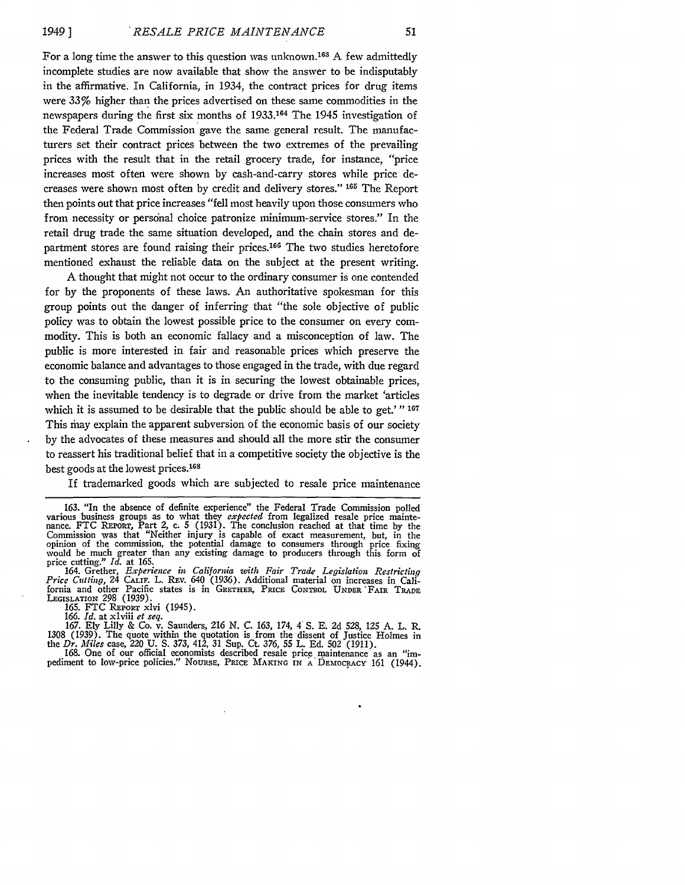For a long time the answer to this question was unknown. 163 A few admittedly incomplete studies are now available that show the answer to be indisputably in the affirmative. In California, in 1934, the contract prices for drug items were 33% higher than the prices advertised on these same commodities in the newspapers during the first six months of **1933.164** The 1945 investigation of the Federal Trade Commission gave the same general result. The manufacturers set their contract prices between the two extremes of the prevailing prices with the result that in the retail grocery trade, for instance, "price increases most often were shown by cash-and-carry stores while price decreases were shown most often by credit and delivery stores." **165** The Report then points out that price increases "fell most heavily upon those consumers who from necessity or personal choice patronize minimum-service stores." In the retail drug trade the same situation developed, and the chain stores and department stores are found raising their prices.<sup>166</sup> The two studies heretofore mentioned exhaust the reliable data on the subject at the present writing.

A thought that might not occur to the ordinary consumer is one contended for by the proponents of these laws. An authoritative spokesman for this group points out the danger of inferring that "the sole objective of public policy was to obtain the lowest possible price to the consumer on every commodity. This is both an economic fallacy and a misconception of law. The public is more interested in fair and reasonable prices which preserve the economic balance and advantages to those engaged in the trade, with due regard to the consuming public, than it is in securing the lowest obtainable prices, when the inevitable tendency is to degrade or drive from the market 'articles which it is assumed to be desirable that the public should be able to get.'" **<sup>167</sup>** This may explain the apparent subversion of the economic basis of our society by the advocates of these measures and should all the more stir the consumer to reassert his traditional belief that in a competitive society the objective is the best goods at the lowest prices. <sup>168</sup>

If trademarked goods which are subjected to resale price maintenance

164. Grether, *Experience in California with Fair Trade Legislation Restricting Price Cutting,* 24 CALIF. L. ZEv. 640 (1936). Additional material on increases in California and other Pacific states is in GRETHER, PRICE CONTROL UNDER 'FAIR TRADE LFiSLATIoN 298 (1939). 165. FTC REPORT xlvi (1945). 166. *Id.* at xlviii *et seq.*

167. Ely Lilly & Co.  $\hat{v}$ . Saunders, 216 N. C. 163, 174, 4 S. E. 2d 528, 125 A. L. R. 1308 (1939). The quote within the quotation is from the dissent of Justice Holmes in the *Dr. Miles* case, 220 U. S. 373, 412, 31 Su

pediment to low-price policies." NOURSE, PRICE MAKING IN A DEMOCRACY 161 (1944).

<sup>163. &</sup>quot;In the absence of definite experience" the Federal Trade Commission polled various business groups as to what they *expected* from legalized resale price mainte- nance. FTC **REPORT,** Part 2, c. 5 (1931). The conclusion reached at that time **by** the Commission was that "Neither injury is capable of exact measurement, but, in the opinion of the commission, the potential damage to consumers through price fixing would be much greater than any existing damage to producers through this form of price cutting." *Id.* at 165.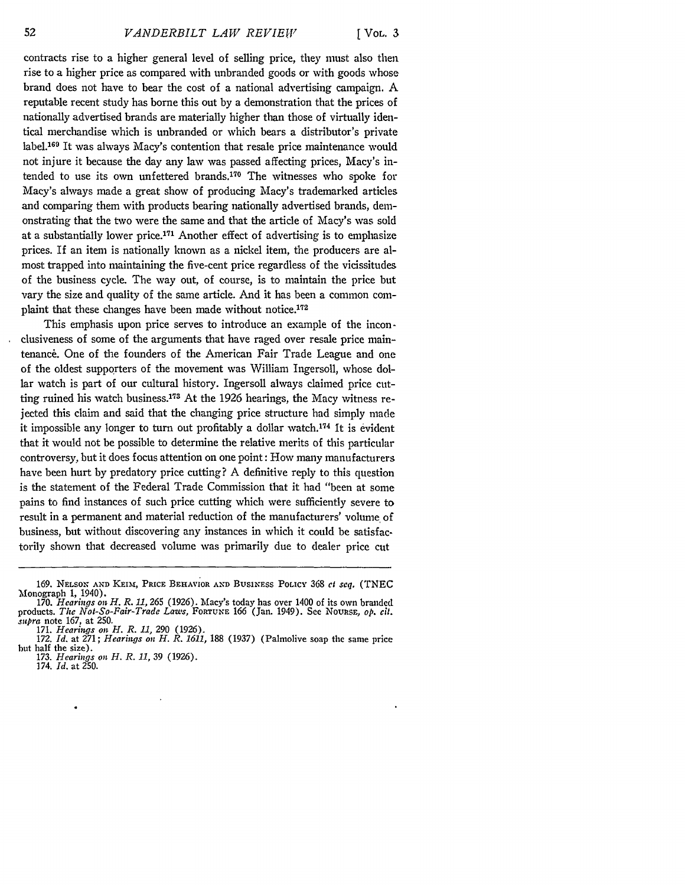**[ VOL. 3**

contracts rise to a higher general level of selling price, they must also then rise to a higher price as compared with unbranded goods or with goods whose brand does not have to bear the cost of a national advertising campaign. A reputable recent study has borne this out **by** a demonstration that the prices of nationally advertised brands are materially higher than those of virtually identical merchandise which is unbranded or which bears a distributor's private label.<sup>169</sup> It was always Macy's contention that resale price maintenance would not injure it because the day any law was passed affecting prices, Macy's intended to use its own unfettered brands.<sup>170</sup> The witnesses who spoke for Macy's always made a great show of producing Macy's trademarked articles and comparing them with products bearing nationally advertised brands, demonstrating that the two were the same and that the article of Macy's was sold at a substantially lower price.<sup>171</sup> Another effect of advertising is to emphasize prices. If an item is nationally known as a nickel item, the producers are almost trapped into maintaining the five-cent price regardless of the vicissitudes of the business cycle. The way out, of course, is to maintain the price but vary the size and quality of the same article. And it has been a common complaint that these changes have been made without notice.<sup>172</sup>

This emphasis upon price serves to introduce an example of the inconclusiveness of some of the arguments that have raged over resale price maintenance. One of the founders of the American Fair Trade League and one of the oldest supporters of the movement was William Ingersoll, whose dollar watch is part of our cultural history. Ingersoll always claimed price cutting ruined his watch business.<sup>173</sup> At the 1926 hearings, the Macy witness rejected this claim and said that the changing price structure had simply made it impossible any longer to turn out profitably a dollar watch.<sup>174</sup> It is evident that it would not be possible to determine the relative merits of this particular controversy, but it does focus attention on one point: How many manufacturers have been hurt **by** predatory price cutting? A definitive reply to this question is the statement of the Federal Trade Commission that it had "been at some pains to find instances of such price cutting which were sufficiently severe to result in a permanent and material reduction of the manufacturers' volume of business, but without discovering any instances in which it could be satisfactorily shown that decreased volume was primarily due to dealer price cut

174. *Id.* at **250.**

<sup>169.</sup> NELSON **AND KEIm,** PRICE BEHAVIOR **AND BUSINESS** PoLIcY 368 **et** *seq.* (TNEC Monograph 1, 1940).

<sup>170.</sup> *Hearings on H. R. 11,* 265 (1926). Macy's today has over 1400 of its own branded products. The *Not-So-Fair-Trade Laws,* **FORTUNE** 166 (Jan. 1949). See Nounss, *op. cit. supra* note 167, at 250. 171. *Hearings on H. R. 11,* 290 (1926).

<sup>172.</sup> *Id.* at 271; *Hearings on H. R. 1611,* **188** (1937) (Palmolive soap the same price but half the size). 173. *Hearings on H. R. 11,* 39 (1926).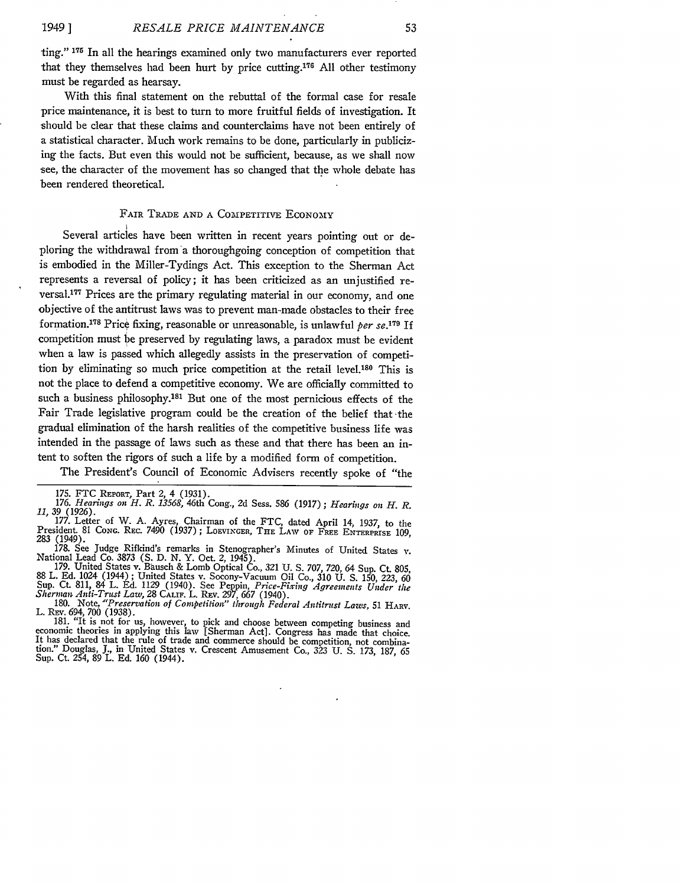ting." **175** In all the hearings examined only two manufacturers ever reported that they themselves had been hurt by price cutting.<sup>176</sup> All other testimony must be regarded as hearsay.

With this final statement on the rebuttal of the formal case for resale price maintenance, it is best to turn to more fruitful fields of investigation. It should be clear that these claims and counterclaims have not been entirely of a statistical character. Much work remains to be done, particularly in publicizing the facts. But even this would not be sufficient, because, as we shall now see, the character of the movement has so changed that the whole debate has been rendered theoretical.

## FAIR TRADE AND A COMPETITIVE ECONOMY

Several articles have been written in recent years pointing out or deploring the withdrawal from a thoroughgoing conception of competition that is embodied in the Miller-Tydings Act. This exception to the Sherman Act represents a reversal of policy; it has been criticized as an unjustified reversal.<sup>177</sup> Prices are the primary regulating material in our economy, and one objective of the antitrust laws was to prevent man-made obstacles to their free formation.<sup>178</sup> Price fixing, reasonable or unreasonable, is unlawful *per se*.<sup>179</sup> If competition must be preserved by regulating laws, a paradox must be evident when a law is passed which allegedly assists in the preservation of competition by eliminating so much price competition at the retail level.<sup>180</sup> This is not the place to defend a competitive economy. We are officially committed to such a business philosophy.<sup>181</sup> But one of the most pernicious effects of the Fair Trade legislative program could be the creation of the belief that the gradual elimination of the harsh realities of the competitive business life was intended in the passage of laws such as these and that there has been an intent to soften the rigors of such a life by a modified form of competition.

The President's Council of Economic Advisers recently spoke of "the

L. REv. 694, 700 (1938). 181. "It is not for us, however, to pick and choose between competing business and

economic theories in applying this law [Sherman Act]. Congress has made that choice.<br>It has declared that the rule of trade and commerce should be competition, not combination." Douglas, J., in United States v. Crescent Amusement Co., 323 U. **S.** 173, 187, **65** Sup. Ct. 254, 89 L. Ed. 160 (1944).

<sup>175.</sup> FTC REPORT, Part 2, 4 (1931). 176. *Hearings on H. R. 13568,* 46th Cong., 2d Sess. 586 (1917) ; *Hearings on H. R. 11, 39* (1926).

<sup>177.</sup> Letter of W. A. Ayres, Chairman of the FTC, dated April 14, 1937, to the President. 81 **CONG.** REc. 7490 (1937) ; LOEViXGER, **THE** LAW **OF** FREE ENTERPRISE 109,

<sup>283 (1949).&</sup>lt;br>178. See Judge Rifkind's remarks in Stenographer's Minutes of United States v.<br>National Lead Co. 3873 (S. D. N. Y. Oct. 2, 1945).

<sup>178.</sup> See Judge Rifkind's remarks in Stenographer's Minutes of United States v.<br>National Lead Co. 3873 (S. D. N. Y. Oct. 2, 1945).<br>179. United States v. Bausch & Lomb Optical Co., 321 U. S. 707, 720, 64 Sup. Ct. 805,<br>88 L. *Sherman Anti-Trust Law, 28* CALIF. L. REv. *297,* 667 (1940). 180. Note, *"Preservation of Competition" through Federal Antitrust Laws,* 51 HARV.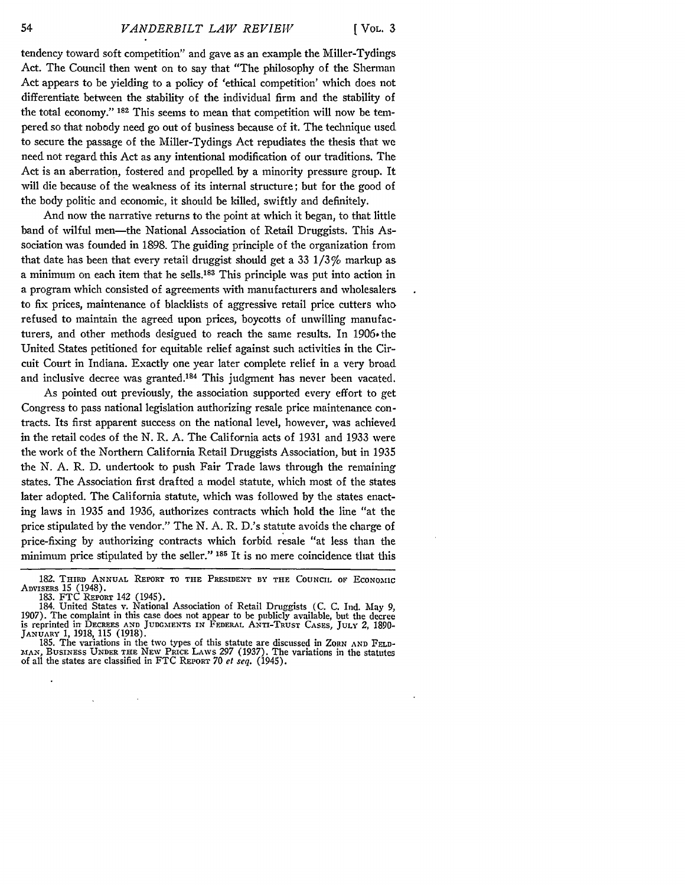tendency toward soft competition" and gave as an example the Miller-Tydings Act. The Council then went on to say that "The philosophy of the Sherman Act appears to be yielding to a policy of 'ethical competition' which does not differentiate between the stability of the individual firm and the stability of the total economy." **182** This seems to mean that competition will now be tempered so that nobody need go out of business because of it. The technique used to secure the passage of the Miller-Tydings Act repudiates the thesis that we need not regard this Act as any intentional modification of our traditions. The Act is an aberration, fostered and propelled **by** a minority pressure group. It will die because of the weakness of its internal structure; but for the good of the body politic and economic, it should be killed, swiftly and definitely.

And now the narrative returns to the point at which it began, to that little band of wilful men-the National Association of Retail Druggists. This Association was founded in 1898. The guiding principle of the organization from that date has been that every retail druggist should get a 33 1/3% markup as a minimum on each item that he sells.<sup>183</sup> This principle was put into action in a program which consisted of agreements with manufacturers and wholesalers to fix prices, maintenance of blacklists of aggressive retail price cutters who refused to maintain the agreed upon prices, boycotts of unwilling manufacturers, and other methods desigued to reach the same results. In 1906 the United States petitioned for equitable relief against such activities in the Circuit Court in Indiana. Exactly one year later complete relief in a very broad and inclusive decree was granted.<sup>184</sup> This judgment has never been vacated.

As pointed out previously, the association supported every effort to get Congress to pass national legislation authorizing resale price maintenance contracts. Its first apparent success on the national level, however, was achieved in the retail codes of the N. R. A. The California acts of 1931 and 1933 were the work of the Northern California Retail Druggists Association, but in 1935 the N. A. R. D. undertook to push Fair Trade laws through the remaining states. The Association first drafted a model statute, which most of the states later adopted. The California statute, which was followed by the states enacting laws in 1935 and 1936, authorizes contracts which hold the line "at the price stipulated by the vendor." The N. A. R. D.'s statute avoids the charge of price-fixing by authorizing contracts which forbid resale "at less than the minimum price stipulated by the seller." **185** It is no mere coincidence that this

 $\bar{z}$ 

<sup>182.</sup> **THIRD ANNUAL** REPORT **TO THE PRESIDENT BY THE COUNCIL OF ECONOM1IC** ADVISERS **15** (1948). 183. FTC REPORT 142 (1945). 184. United States v. National Association of Retail Druggists (C. C. Ind. May 9,

<sup>1907).</sup> The complaint in this case does not appear to be publicly available, but the decree is reprinted in DECRzES **AND JUDGMENTS** IN FEDERAL ANTI-TRUST **CASES,** JULY 2, 1890- **JANUARY** 1, 1918, 115 **(1918).**

<sup>185.</sup> The variations in the two types of this statute are discussed in ZORN **AND FELD-MfAN,** BUSINESS **UNDER** THE NEW PRICE LAWS 297 (1937). The variations in the statutes of all the states are classified in FTC REPORT 70 *et seq.* (1945).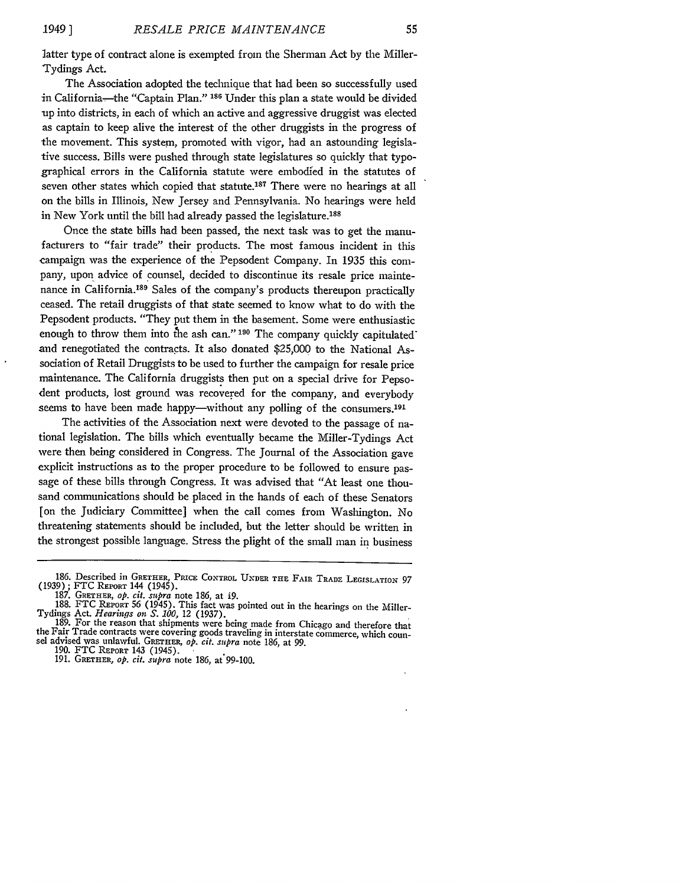latter type of contract alone is exempted from the Sherman Act by the Miller-Tydings Act.

The Association adopted the technique that had been so successfully used in California-the '"Captain Plan." **186** Under this plan a state would be divided up into districts, in each of which an active and aggressive druggist was elected as captain to keep alive the interest of the other druggists in the progress of the movement. This system, promoted with vigor, had an astounding legislative success. Bills were pushed through state legislatures so quickly that typographical errors in the California statute were embodied in the statutes of seven other states which copied that statute.<sup>187</sup> There were no hearings at all on the bills in Illinois, New Jersey and Pennsylvania. No hearings were held in New York until the bill had already passed the legislature.<sup>188</sup>

Once the state bills had been passed, the next task was to get the manufacturers to "fair trade" their products. The most famous incident in this campaign was the experience of the Pepsodent Company. In 1935 this company, upon advice of counsel, decided to discontinue its resale price maintenance in California.<sup>189</sup> Sales of the company's products thereupon practically ceased. The retail druggists of that state seemed to know what to do with the Pepsodent products. "They put them in the basement. Some were enthusiastic enough to throw them into the ash can."<sup>190</sup> The company quickly capitulated<sup>\*</sup> and renegotiated the contracts. It also donated \$25,000 to the National Association of Retail Druggists to be used to further the campaign for resale price maintenance. The California druggists then put on a special drive for Pepsodent products, lost ground was recovered for the company, and everybody seems to have been made happy—without any polling of the consumers.<sup>191</sup>

The activities of the Association next were devoted to the passage of national legislation. The bills which eventually became the Miller-Tydings Act were then being considered in Congress. The Journal of the Association gave explicit instructions as to the proper procedure to be followed to ensure passage of these bills through Congress. It was advised that "At least one thousand communications should be placed in the hands of each of these Senators [on the Judiciary Committee] when the call comes from Washington. No threatening statements should be included, but the letter should be written in the strongest possible language. Stress the plight of the small man in business

<sup>186.</sup> Described in GRETHER, PRICE CONTROL **UNDER** THE FAIR **TRADE** LEGISLATION- **97** (1939) ; FTC REPORT 144 (1945).

<sup>187.</sup> GRETHER, *op. cit. supra* note 186, at **i9.**

<sup>188.</sup> FTC REPORT 56 (1945). This fact was pointed out in the hearings on the Miller-Tydings Act. *Hearings on S. 100*, 12 (1937).

Tydings Act. *Hearinqs on S.* **100,** 12 (1937). **189.** For the reason that shipments were being made from Chicago and therefore that the Fair Trade contracts were covering goods traveling in interstate commerce, which coun- sel advised was unlawful. GRETHER, *op. cit. supra* note 186, at **99.**

<sup>190.</sup> FTC REPORT 143 (1945).

<sup>191.</sup> GRETHER, *op. cit. supra* note 186, at'99-100.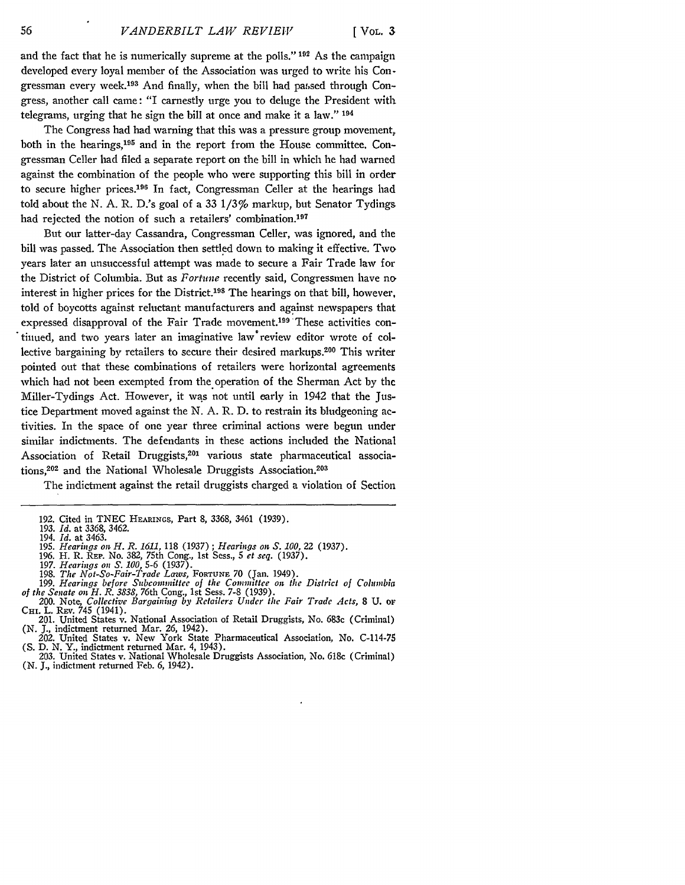and the fact that he is numerically supreme at the polls." **192** As the campaign developed every loyal member of the Association was urged to write his Congressman every week.<sup>193</sup> And finally, when the bill had passed through Congress, another call came: "I earnestly urge you to deluge the President with telegrams, urging that he sign the bill at once and make it a law." **<sup>194</sup>**

The Congress had had warning that this was a pressure group movement, both in the hearings,<sup>195</sup> and in the report from the House committee. Congressman Celler had filed a separate report on the bill in which he had warned against the combination of the people who were supporting this bill in order to secure higher prices.196 In fact, Congressman Celler at the hearings had told about the N. A. R. D.'s goal of a 33 1/3% markup, but Senator Tydings had rejected the notion of such a retailers' combination.<sup>197</sup>

But our latter-day Cassandra, Congressman Celler, was ignored, and the bill was passed. The Association then settled down to making it effective. Two years later an unsuccessful attempt was made to secure a Fair Trade law **for** the District of Columbia. But as *Fortine* recently said, Congressmen have no interest in higher prices for the District.<sup>198</sup> The hearings on that bill, however, told of boycotts against reluctant manufacturers and against newspapers that expressed disapproval of the Fair Trade movement.<sup>199</sup> These activities continued, and two years later an imaginative law\*review editor wrote of collective bargaining by retailers to secure their desired markups.<sup>200</sup> This writer pointed out that these combinations of retailers were horizontal agreements which had not been exempted from the operation of the Sherman Act by the Miller-Tydings Act. However, it was not until early in 1942 that the Justice Department moved against the N. A. R. D. to restrain its bludgeoning activities. In the space of one year three criminal actions were begun under similar indictments. The defendants in these actions included the National Association of Retail Druggists,<sup>201</sup> various state pharmaceutical associations,<sup>202</sup> and the National Wholesale Druggists Association.<sup>203</sup>

The indictment against the retail druggists charged a violation of Section

- 
- 
- *196.* H. R. **REP.** No. 382, 75th Cong., 1st Sess., **5** *et seq. (1937).* 197. *Hearings on S. 100,* 5-6 (1937). 198. *The Not-So-Fair-Trade Laws,* **FORTUNE** 70 (Jan. 1949).
- 199. *Hearings before Subcon nittee of the Comnmittee on the District of Coiumbia*
- *of the Senate on H. R. 3838,* 76th Cong., 1st Sess. 7-8 (1939).
- 200. Note, *Collective Bargaining by Retailers Under the Fair Trade Acts*, 8 U. or CHI. L. REv. 745 (1941).<br>201. United States v. National Association of Retail Druggists, No. 683c (Criminal)
- (N. **J.,** indictment returned Mar. 26, 1942).
- 202. United States v. New York State Pharmaceutical Association, No. C-114-75 (S. D. N. Y., indictment returned Mar. 4, 1943).
- 203. United States v. National Wholesale Druggists Association, No. 618c (Criminal) (N. **J.,** indictment returned Feb. 6, 1942).

<sup>192.</sup> Cited in TNEC HEARINGS, Part 8, 3368, 3461 (1939).

<sup>193.</sup> *Id.* at 3368, 3462. 194. *Id.* at 3463.

<sup>195.</sup> *Hearings on H. R. 1611,* 118 *(1937); Hearings on S. 100,* 22 (1937).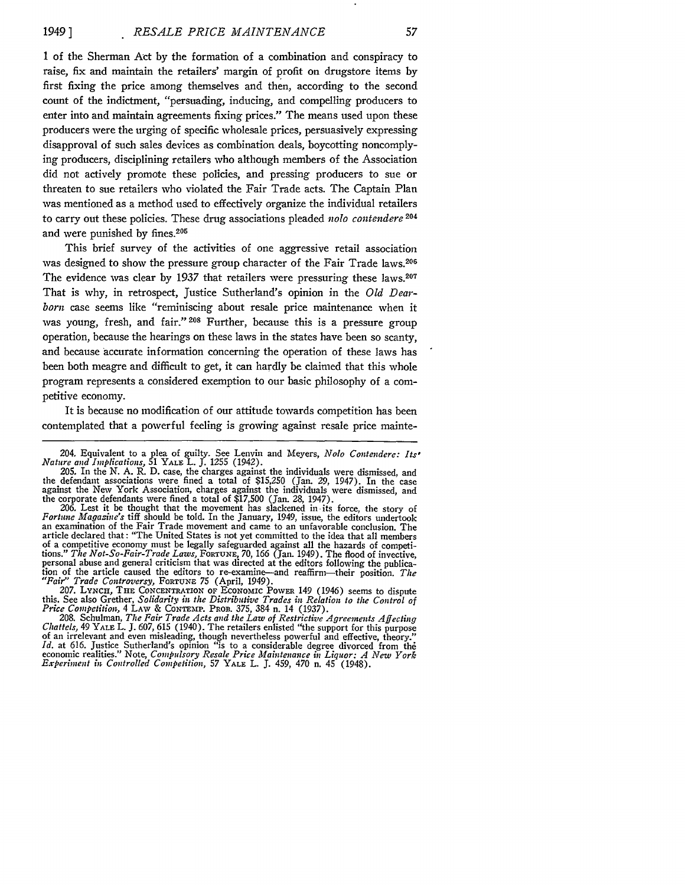1 of the Sherman Act by the formation of a combination and conspiracy to raise, fix and maintain the retailers' margin of profit on drugstore items by first fixing the price among themselves and then, according to the second count of the indictment, "persuading, inducing, and compelling producers to enter into and maintain agreements fixing prices." The means used upon these producers were the urging of specific wholesale prices, persuasively expressing disapproval of such sales devices as combination deals, boycotting noncomplying producers, disciplining retailers who although members of the Association did not actively promote these policies, and pressing producers to sue or threaten to sue retailers who violated the Fair Trade acts. The Captain Plan was mentioned as a method used to effectively organize the individual retailers to carry out these policies. These drug associations pleaded nolo *contendere 204* and were punished by fines.<sup>205</sup>

This brief survey of the activities of one aggressive retail association was designed to show the pressure group character of the Fair Trade laws.<sup>206</sup> The evidence was clear by 1937 that retailers were pressuring these laws.<sup>207</sup> That is why, in retrospect, Justice Sutherland's opinion in the *Old Dearborn* case seems like "reminiscing about resale price maintenance when it was young, fresh, and fair." **208** Further, because this is a pressure group operation, because the hearings on these laws in the states have been so scanty, and because 'accurate information concerning the operation of these laws has been both meagre and difficult to get, it can hardly be claimed that this whole program represents a considered exemption to our basic philosophy of a competitive economy.

It is because no modification of our attitude towards competition has been contemplated that a powerful feeling is growing against resale price mainte-

ion of the article caused the editors to re-examine—and reaffirm—their position. The<br>
"Fair" Trade Controversy, FORTUNE 75 (April, 1949).<br>
207. LYNCH, THE CONCENTRATION OF ECONOMIC POWER 149 (1946) seems to dispute<br>
this.

*Chattels,* 49 YALE L. J. 607, 615 (1940). The retailers enlisted "the support for this purpose of an irrelevant and even misleading, though nevertheless powerful and effective, theory." *Id.* at 616. Justice Sutherland's opinion "is to a considerable degree divorced from the<br>economic realities." Note, Compulsory Resale Price Maintenance in Liquor: A New York<br>Experiment in Controlled Competition, 57 YALE L

<sup>204.</sup> Equivalent to a plea of guilty. See Lenvin and Meyers, Nolo *Contendere: Its, Nature and Implications,* 51 YALE L. **J.** 1255 (1942).

<sup>205.</sup> In the N. A. R. D. case, the charges against the individuals were dismissed, and the defendant associations were fined a total of \$15,250 (Jan. 29, 1947). In the case against the New York Association, charges against the individuals were dismissed, and the corporate defendants were fined a total of \$17,500 (Jan. **28,** 1947).

<sup>206.</sup> Lest it be thought that the movement has slackened in -its force, the story of Fortune Magazine's tiff should be told. In the January, 1949, issue, the editors undertook *Fortune Magazie's* tiff should be told. In the January, 1949, issue, the editors undertook an examination of the Fair Trade movement and came to an unfavorable conclusion. The article declared that: "The United States is not yet committed to the idea that all members of a competitive economy must be legally safeguarded against all the hazards of competi-tions." *The Not-So-Fair-Trade Laws,* FORTUNE, **70, 166** (Jan. 1949). The flood of invective, personal abuse and general criticism that was directed at the editors following the publica-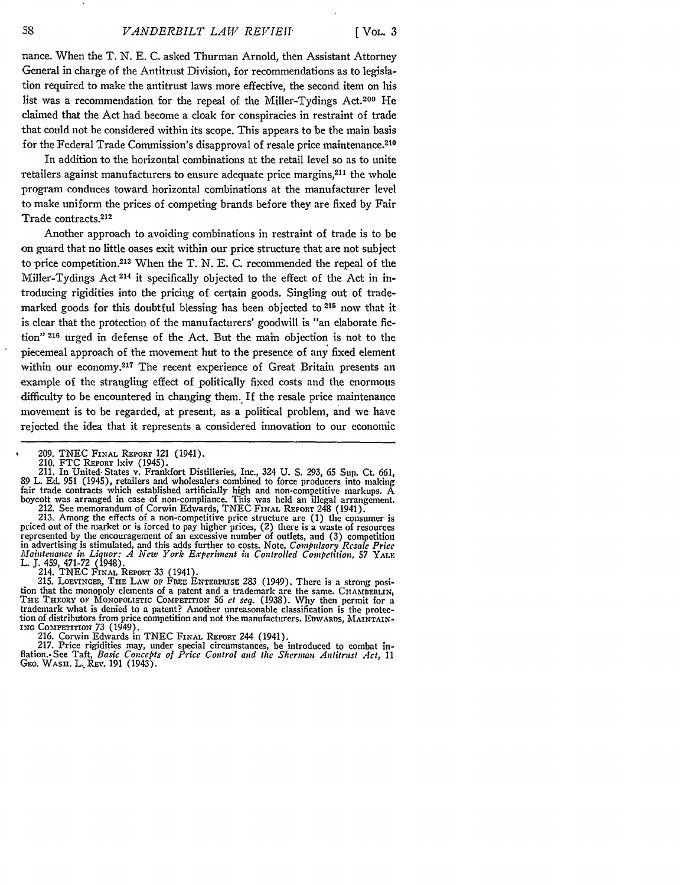nance. When the T. N. E. C. asked Thurman Arnold, then Assistant Attorney General in charge of the Antitrust Division, for recommendations as to legislation required to make the antitrust laws more effective, the second item on his list was a recommendation for the repeal of the Miller-Tydings Act.200 He claimed that the Act had become a cloak for conspiracies in restraint of trade that could not be considered within its scope. This appears to be the main basis for the Federal Trade Commission's disapproval of resale price maintenance. <sup>210</sup>

In addition to the horizontal combinations at the retail level so as to unite retailers against manufacturers to ensure adequate price margins,<sup>211</sup> the whole program conduces toward horizontal combinations at the manufacturer level to make uniform the prices of competing brands before they are fixed by Fair Trade contracts. <sup>212</sup>

Another approach to avoiding combinations in restraint of trade is to be on guard that no little oases exit within our price structure that are not subject to price competition. 213 When the T. N. E. C. recommended the repeal of the Miller-Tydings Act 214 it specifically objected to the effect of the Act in introducing rigidities into the pricing of certain goods. Singling out of trademarked goods for this doubtful blessing has been objected to <sup>216</sup> now that it is clear that the protection of the manufacturers' goodwill is "an elaborate fiction" **216** urged in defense of the Act. But the main objection is not to the piecemeal approach of the movement but to the presence of any fixed element within our economy.<sup>217</sup> The recent experience of Great Britain presents an example of the strangling effect of politically fixed costs and the enormous difficulty to be encountered in changing them. If the resale price maintenance movement is to be regarded, at present, as a political problem, and we have rejected the idea that it represents a considered innovation to our economic

priced out of the market or is forced to pay higher prices, (2) there is a waste of resources<br>represented by the encouragement of an excessive number of outlets, and (3) competition *Maintenance in Liquor: A New York Experiment in Controlled Competilion,* **57** YALE L. **J.** 459, 471-72 (1948). 214. TNEC FINAL REPORT 33 (1941).

215. LOEVINGER, THE LAW **OF** FREE ENTERPRISE 283 (1949). There is a strong position that the monopoly elements of a patent and a trademark are the same. **CHAMBERLIN,** THE THEORY OF MONOPOLISTIC **COMPErITION** 56 *ct seq.* (1938). Why then permit for a trademark what is denied to a patent? Another unreasonable classification is the protec-The material of distributors from price competition and not the manufacturers. EDWARDS, MAINTAIN-<br>tion of distributors from price competition and not the manufacturers. EDWARDS, MAINTAIN-ING COMPETITION  $73$  (1949).

216. Corwin Edwards in TNEC FINAL REPORT 244 (1941).

217. Price rigidities may, under special circumstances, be introduced to combat inflation.-See Taft, *Basic Concepts of Price Control and the Sherman Antitrust Act,* 11 GEo. WASH. L..REV. 191 (1943).

**<sup>209.</sup>** TNEC FINAL REPORT 121 (1941).

<sup>211.</sup> In United States v. Frankfort Distilleries, Inc., 324 U. S. 293, 65 Sup. Ct. 661, 89 L. Ed. 951 (1945), retailers and wholesalers combined to force producers into making 89 L. Ed. 951 (1945), retailers and wholesalers combined to force producers into making fair trade contracts which established artificially high and non-competitive markups. A boycott was arranged in case of non-compliance. This was held an illegal arrangement.<br>212. See memorandum of Corwin Edwards, TNEC FINAL REPORT 248 (1941).<br>213. Among the effects of a non-competitive price structure are (1)